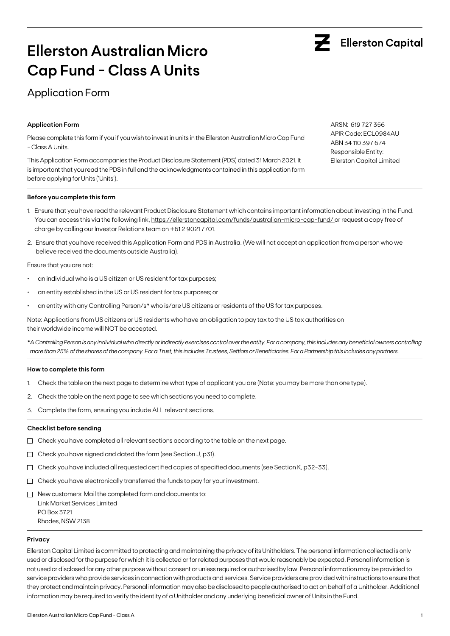# Application Form

## **Application Form**

Please complete this form if you if you wish to invest in units in the Ellerston Australian Micro Cap Fund - Class A Units.

This Application Form accompanies the Product Disclosure Statement (PDS) dated 31 March 2021. It is important that you read the PDS in full and the acknowledgments contained in this application form before applying for Units ('Units').

**Before you complete this form**

- 1. Ensure that you have read the relevant Product Disclosure Statement which contains important information about investing in the Fund. You can access this via the following link, https://ellerstoncapital.com/funds/australian-micro-cap-fund/ or request a copy free of charge by calling our Investor Relations team on +61 2 9021 7701.
- 2. Ensure that you have received this Application Form and PDS in Australia. (We will not accept an application from a person who we believe received the documents outside Australia).

Ensure that you are not:

- an individual who is a US citizen or US resident for tax purposes;
- an entity established in the US or US resident for tax purposes; or
- an entity with any Controlling Person/s\* who is/are US citizens or residents of the US for tax purposes.

Note: Applications from US citizens or US residents who have an obligation to pay tax to the US tax authorities on their worldwide income will NOT be accepted.

\**A Controlling Person is any individual who directly or indirectly exercises control over the entity. For a company, this includes any beneficial owners controlling more than 25% of the shares of the company. For a Trust, this includes Trustees, Settlors or Beneficiaries. For a Partnership this includes any partners.*

### **How to complete this form**

- 1. Check the table on the next page to determine what type of applicant you are (Note: you may be more than one type).
- 2. Check the table on the next page to see which sections you need to complete.
- 3. Complete the form, ensuring you include ALL relevant sections.

### **Checklist before sending**

- $\Box$  Check you have completed all relevant sections according to the table on the next page.
- $\Box$  Check you have signed and dated the form (see Section J, p31).
- $\Box$  Check you have included all requested certified copies of specified documents (see Section K, p32-33).
- $\Box$  Check you have electronically transferred the funds to pay for your investment.
- $\Box$  New customers: Mail the completed form and documents to: Link Market Services Limited PO Box 3721 Rhodes, NSW 2138

#### **Privacy**

Ellerston Capital Limited is committed to protecting and maintaining the privacy of its Unitholders. The personal information collected is only used or disclosed for the purpose for which it is collected or for related purposes that would reasonably be expected. Personal information is not used or disclosed for any other purpose without consent or unless required or authorised by law. Personal information may be provided to service providers who provide services in connection with products and services. Service providers are provided with instructions to ensure that they protect and maintain privacy. Personal information may also be disclosed to people authorised to act on behalf of a Unitholder. Additional information may be required to verify the identity of a Unitholder and any underlying beneficial owner of Units in the Fund.

ARSN: 619 727 356 APIR Code: ECL0984AU ABN 34 110 397 674 Responsible Entity: Ellerston Capital Limited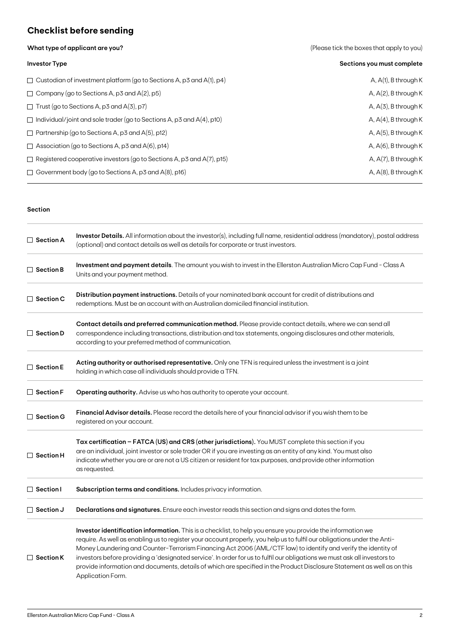# **Checklist before sending**

| What type of applicant are you? | (Please tick the boxes that apply to you) |
|---------------------------------|-------------------------------------------|
|                                 |                                           |

| <b>Investor Type</b>                                                         | Sections you must complete |
|------------------------------------------------------------------------------|----------------------------|
| $\Box$ Custodian of investment platform (go to Sections A, p3 and A(1), p4)  | $A, A(1), B$ through K     |
| $\Box$ Company (go to Sections A, p3 and A(2), p5)                           | A, $A(2)$ , B through K    |
| $\Box$ Trust (go to Sections A, p3 and A(3), p7)                             | $A, A(3), B$ through K     |
| $\Box$ Individual/joint and sole trader (go to Sections A, p3 and A(4), p10) | A, $A(4)$ , B through K    |
| $\Box$ Partnership (go to Sections A, p3 and A(5), p12)                      | $A, A(5)$ , B through K    |
| $\Box$ Association (go to Sections A, p3 and A(6), p14)                      | A, $A(6)$ , B through K    |
| $\Box$ Registered cooperative investors (go to Sections A, p3 and A(7), p15) | A, $A(7)$ , B through K    |
| $\Box$ Government body (go to Sections A, p3 and A(8), p16)                  | A, $A(8)$ , B through K    |

## **Section**

| $\Box$ Section A | Investor Details. All information about the investor(s), including full name, residential address (mandatory), postal address<br>(optional) and contact details as well as details for corporate or trust investors.                                                                                                                                                                                                                                                                                                                                                                                                                    |
|------------------|-----------------------------------------------------------------------------------------------------------------------------------------------------------------------------------------------------------------------------------------------------------------------------------------------------------------------------------------------------------------------------------------------------------------------------------------------------------------------------------------------------------------------------------------------------------------------------------------------------------------------------------------|
| $\Box$ Section B | Investment and payment details. The amount you wish to invest in the Ellerston Australian Micro Cap Fund - Class A<br>Units and your payment method.                                                                                                                                                                                                                                                                                                                                                                                                                                                                                    |
| $\Box$ Section C | Distribution payment instructions. Details of your nominated bank account for credit of distributions and<br>redemptions. Must be an account with an Australian domiciled financial institution.                                                                                                                                                                                                                                                                                                                                                                                                                                        |
| $\Box$ Section D | Contact details and preferred communication method. Please provide contact details, where we can send all<br>correspondence including transactions, distribution and tax statements, ongoing disclosures and other materials,<br>according to your preferred method of communication.                                                                                                                                                                                                                                                                                                                                                   |
| $\Box$ Section E | Acting authority or authorised representative. Only one TFN is required unless the investment is a joint<br>holding in which case all individuals should provide a TFN.                                                                                                                                                                                                                                                                                                                                                                                                                                                                 |
| $\Box$ Section F | <b>Operating authority.</b> Advise us who has authority to operate your account.                                                                                                                                                                                                                                                                                                                                                                                                                                                                                                                                                        |
| $\Box$ Section G | Financial Advisor details. Please record the details here of your financial advisor if you wish them to be<br>registered on your account.                                                                                                                                                                                                                                                                                                                                                                                                                                                                                               |
| $\Box$ Section H | Tax certification - FATCA (US) and CRS (other jurisdictions). You MUST complete this section if you<br>are an individual, joint investor or sole trader OR if you are investing as an entity of any kind. You must also<br>indicate whether you are or are not a US citizen or resident for tax purposes, and provide other information<br>as requested.                                                                                                                                                                                                                                                                                |
| $\Box$ Section I | Subscription terms and conditions. Includes privacy information.                                                                                                                                                                                                                                                                                                                                                                                                                                                                                                                                                                        |
| $\Box$ Section J | Declarations and signatures. Ensure each investor reads this section and signs and dates the form.                                                                                                                                                                                                                                                                                                                                                                                                                                                                                                                                      |
| $\Box$ Section K | Investor identification information. This is a checklist, to help you ensure you provide the information we<br>require. As well as enabling us to register your account properly, you help us to fulfil our obligations under the Anti-<br>Money Laundering and Counter-Terrorism Financing Act 2006 (AML/CTF law) to identify and verify the identity of<br>investors before providing a 'designated service'. In order for us to fulfil our obligations we must ask all investors to<br>provide information and documents, details of which are specified in the Product Disclosure Statement as well as on this<br>Application Form. |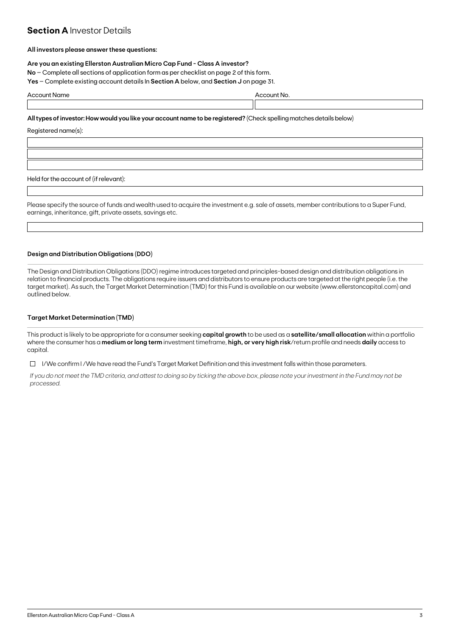# **Section A Investor Details**

## **All investors please answer these questions:**

## **Are you an existing Ellerston Australian Micro Cap Fund - Class A investor?**

**No** – Complete all sections of application form as per checklist on page 2 of this form.

**Yes** – Complete existing account details In **Section A** below, and **Section J** on page 31.

| $\Lambda$ $\sim$ $\sim$ $\mu$<br>. .<br>пе |  |  |
|--------------------------------------------|--|--|
|                                            |  |  |

**All types of investor: How would you like your account name to be registered?** (Check spelling matches details below)

Registered name(s):

Held for the account of (if relevant):

Please specify the source of funds and wealth used to acquire the investment e.g. sale of assets, member contributions to a Super Fund, earnings, inheritance, gift, private assets, savings etc.

## **Design and Distribution Obligations (DDO)**

The Design and Distribution Obligations (DDO) regime introduces targeted and principles-based design and distribution obligations in relation to financial products. The obligations require issuers and distributors to ensure products are targeted at the right people (i.e. the target market). As such, the Target Market Determination (TMD) for this Fund is available on our website (www.ellerstoncapital.com) and outlined below.

## **Target Market Determination (TMD)**

This product is likely to be appropriate for a consumer seeking **capital growth** to be used as a **satellite/small allocation** within a portfolio where the consumer has a **medium or long term** investment timeframe, **high, or very high risk**/return profile and needs **daily** access to capital.

 $\Box$  I/We confirm I/We have read the Fund's Target Market Definition and this investment falls within those parameters.

*If you do not meet the TMD criteria, and attest to doing so by ticking the above box, please note your investment in the Fund may not be processed.*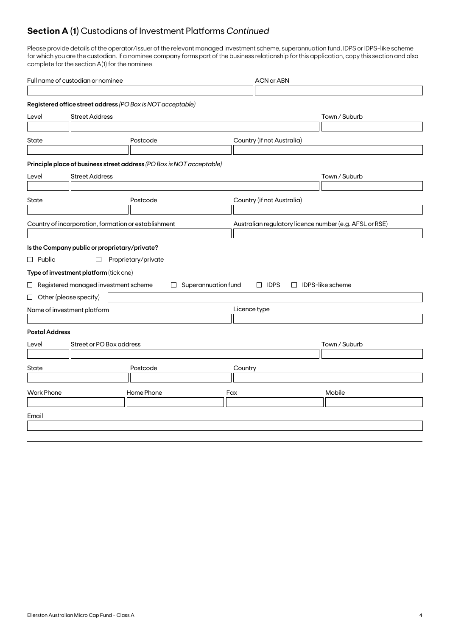# **Section A (1)** Custodians of Investment Platforms *Continued*

Please provide details of the operator/issuer of the relevant managed investment scheme, superannuation fund, IDPS or IDPS-like scheme for which you are the custodian. If a nominee company forms part of the business relationship for this application, copy this section and also complete for the section A(1) for the nominee.

| Full name of custodian or nominee |                                                                       |                     | <b>ACN or ABN</b>          |                                                         |                         |
|-----------------------------------|-----------------------------------------------------------------------|---------------------|----------------------------|---------------------------------------------------------|-------------------------|
|                                   |                                                                       |                     |                            |                                                         |                         |
|                                   | Registered office street address (PO Box is NOT acceptable)           |                     |                            |                                                         |                         |
| Level                             | <b>Street Address</b>                                                 |                     |                            |                                                         | Town / Suburb           |
|                                   |                                                                       |                     |                            |                                                         |                         |
| State                             |                                                                       | Postcode            |                            | Country (if not Australia)                              |                         |
|                                   |                                                                       |                     |                            |                                                         |                         |
|                                   | Principle place of business street address (PO Box is NOT acceptable) |                     |                            |                                                         |                         |
| Level                             | <b>Street Address</b>                                                 |                     |                            |                                                         | Town / Suburb           |
|                                   |                                                                       |                     |                            |                                                         |                         |
| State                             |                                                                       | Postcode            |                            | Country (if not Australia)                              |                         |
|                                   |                                                                       |                     |                            |                                                         |                         |
|                                   | Country of incorporation, formation or establishment                  |                     |                            | Australian regulatory licence number (e.g. AFSL or RSE) |                         |
|                                   |                                                                       |                     |                            |                                                         |                         |
|                                   | Is the Company public or proprietary/private?                         |                     |                            |                                                         |                         |
| $\Box$ Public                     | $\Box$                                                                | Proprietary/private |                            |                                                         |                         |
|                                   | Type of investment platform (tick one)                                |                     |                            |                                                         |                         |
|                                   | $\Box$ Registered managed investment scheme                           |                     | $\Box$ Superannuation fund | $\Box$ IDPS                                             | $\Box$ IDPS-like scheme |
|                                   | $\Box$ Other (please specify)                                         |                     |                            |                                                         |                         |
|                                   | Name of investment platform                                           |                     |                            | Licence type                                            |                         |
|                                   |                                                                       |                     |                            |                                                         |                         |
| <b>Postal Address</b>             |                                                                       |                     |                            |                                                         |                         |
| Level                             | Street or PO Box address                                              |                     |                            |                                                         | Town / Suburb           |
|                                   |                                                                       |                     |                            |                                                         |                         |
| State                             |                                                                       | Postcode            |                            | Country                                                 |                         |
|                                   |                                                                       |                     |                            |                                                         |                         |
| <b>Work Phone</b>                 |                                                                       | Home Phone          |                            | Fax                                                     | Mobile                  |
|                                   |                                                                       |                     |                            |                                                         |                         |
| Email                             |                                                                       |                     |                            |                                                         |                         |
|                                   |                                                                       |                     |                            |                                                         |                         |
|                                   |                                                                       |                     |                            |                                                         |                         |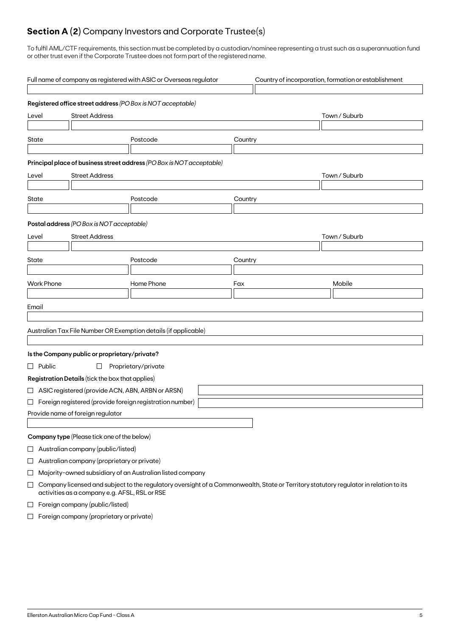# **Section A (2)** Company Investors and Corporate Trustee(s)

To fulfil AML/CTF requirements, this section must be completed by a custodian/nominee representing a trust such as a superannuation fund or other trust even if the Corporate Trustee does not form part of the registered name.

|          |                                             |                                                    | Full name of company as registered with ASIC or Overseas regulator                                                                    |         | Country of incorporation, formation or establishment |  |
|----------|---------------------------------------------|----------------------------------------------------|---------------------------------------------------------------------------------------------------------------------------------------|---------|------------------------------------------------------|--|
|          |                                             |                                                    | Registered office street address (PO Box is NOT acceptable)                                                                           |         |                                                      |  |
| Level    |                                             | <b>Street Address</b>                              |                                                                                                                                       |         | Town / Suburb                                        |  |
| State    |                                             |                                                    | Postcode                                                                                                                              | Country |                                                      |  |
|          |                                             |                                                    | Principal place of business street address (PO Box is NOT acceptable)                                                                 |         |                                                      |  |
| Level    |                                             | <b>Street Address</b>                              |                                                                                                                                       |         | Town / Suburb                                        |  |
| State    |                                             |                                                    | Postcode                                                                                                                              | Country |                                                      |  |
|          |                                             |                                                    |                                                                                                                                       |         |                                                      |  |
|          |                                             | Postal address (PO Box is NOT acceptable)          |                                                                                                                                       |         |                                                      |  |
| Level    |                                             | <b>Street Address</b>                              |                                                                                                                                       |         | Town / Suburb                                        |  |
| State    |                                             |                                                    | Postcode                                                                                                                              | Country |                                                      |  |
|          |                                             |                                                    |                                                                                                                                       |         |                                                      |  |
|          | <b>Work Phone</b>                           |                                                    | Home Phone                                                                                                                            | Fax     | Mobile                                               |  |
|          |                                             |                                                    |                                                                                                                                       |         |                                                      |  |
| Email    |                                             |                                                    |                                                                                                                                       |         |                                                      |  |
|          |                                             |                                                    |                                                                                                                                       |         |                                                      |  |
|          |                                             |                                                    | Australian Tax File Number OR Exemption details (if applicable)                                                                       |         |                                                      |  |
|          |                                             | Is the Company public or proprietary/private?      |                                                                                                                                       |         |                                                      |  |
|          | $\Box$ Public                               | $\Box$                                             | Proprietary/private                                                                                                                   |         |                                                      |  |
|          |                                             | Registration Details (tick the box that applies)   |                                                                                                                                       |         |                                                      |  |
|          |                                             | □ ASIC registered (provide ACN, ABN, ARBN or ARSN) |                                                                                                                                       |         |                                                      |  |
|          |                                             |                                                    | $\Box$ Foreign registered (provide foreign registration number)                                                                       |         |                                                      |  |
|          | Provide name of foreign regulator           |                                                    |                                                                                                                                       |         |                                                      |  |
|          |                                             |                                                    |                                                                                                                                       |         |                                                      |  |
|          |                                             | Company type (Please tick one of the below)        |                                                                                                                                       |         |                                                      |  |
| $\sqcup$ | Australian company (public/listed)          |                                                    |                                                                                                                                       |         |                                                      |  |
| $\Box$   | Australian company (proprietary or private) |                                                    |                                                                                                                                       |         |                                                      |  |
| ⊔        |                                             |                                                    | Majority-owned subsidiary of an Australian listed company                                                                             |         |                                                      |  |
| $\Box$   |                                             | activities as a company e.g. AFSL, RSL or RSE      | Company licensed and subject to the regulatory oversight of a Commonwealth, State or Territory statutory regulator in relation to its |         |                                                      |  |
| $\Box$   | Foreign company (public/listed)             |                                                    |                                                                                                                                       |         |                                                      |  |

 $\Box$  Foreign company (proprietary or private)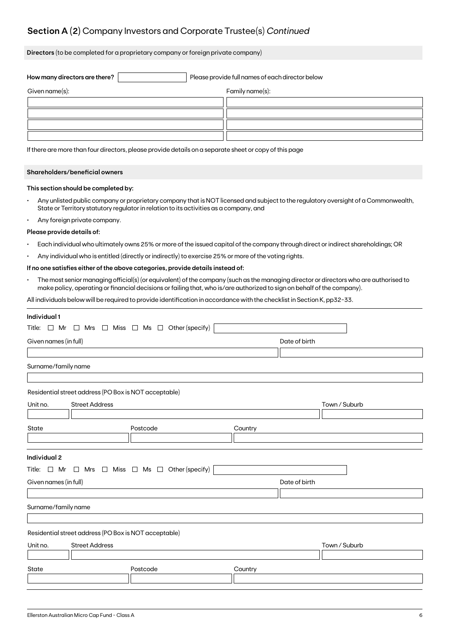# **Section A (2)** Company Investors and Corporate Trustee(s) *Continued*

**Directors** (to be completed for a proprietary company or foreign private company)

| How many directors are there? | Please provide full names of each director below |                 |  |
|-------------------------------|--------------------------------------------------|-----------------|--|
| Given name(s):                |                                                  | Family name(s): |  |
|                               |                                                  |                 |  |
|                               |                                                  |                 |  |
|                               |                                                  |                 |  |
|                               |                                                  |                 |  |

If there are more than four directors, please provide details on a separate sheet or copy of this page

## **Shareholders/beneficial owners**

### **This section should be completed by:**

- Any unlisted public company or proprietary company that is NOT licensed and subject to the regulatory oversight of a Commonwealth, State or Territory statutory regulator in relation to its activities as a company, and
- Any foreign private company.

#### **Please provide details of:**

- Each individual who ultimately owns 25% or more of the issued capital of the company through direct or indirect shareholdings; OR
- Any individual who is entitled (directly or indirectly) to exercise 25% or more of the voting rights.

# **If no one satisfies either of the above categories, provide details instead of:**

• The most senior managing official(s) (or equivalent) of the company (such as the managing director or directors who are authorised to make policy, operating or financial decisions or failing that, who is/are authorized to sign on behalf of the company).

All individuals below will be required to provide identification in accordance with the checklist in Section K, pp32-33.

| Individual 1                           |                                                       |                                                                          |         |               |               |
|----------------------------------------|-------------------------------------------------------|--------------------------------------------------------------------------|---------|---------------|---------------|
|                                        |                                                       | Title: $\Box$ Mr $\Box$ Mrs $\Box$ Miss $\Box$ Ms $\Box$ Other (specify) |         |               |               |
| Given names (in full)<br>Date of birth |                                                       |                                                                          |         |               |               |
|                                        |                                                       |                                                                          |         |               |               |
| Surname/family name                    |                                                       |                                                                          |         |               |               |
|                                        |                                                       |                                                                          |         |               |               |
|                                        | Residential street address (PO Box is NOT acceptable) |                                                                          |         |               |               |
| Unit no.                               | <b>Street Address</b>                                 |                                                                          |         |               | Town / Suburb |
|                                        |                                                       |                                                                          |         |               |               |
| State                                  |                                                       | Postcode                                                                 | Country |               |               |
|                                        |                                                       |                                                                          |         |               |               |
|                                        |                                                       |                                                                          |         |               |               |
| <b>Individual 2</b>                    |                                                       |                                                                          |         |               |               |
|                                        |                                                       | Title: $\Box$ Mr $\Box$ Mrs $\Box$ Miss $\Box$ Ms $\Box$ Other (specify) |         |               |               |
| Given names (in full)                  |                                                       |                                                                          |         | Date of birth |               |
|                                        |                                                       |                                                                          |         |               |               |
| Surname/family name                    |                                                       |                                                                          |         |               |               |
|                                        |                                                       |                                                                          |         |               |               |
|                                        | Residential street address (PO Box is NOT acceptable) |                                                                          |         |               |               |
| Unit no.                               | <b>Street Address</b>                                 |                                                                          |         |               | Town / Suburb |
|                                        |                                                       |                                                                          |         |               |               |
| State                                  |                                                       | Postcode                                                                 | Country |               |               |
|                                        |                                                       |                                                                          |         |               |               |
|                                        |                                                       |                                                                          |         |               |               |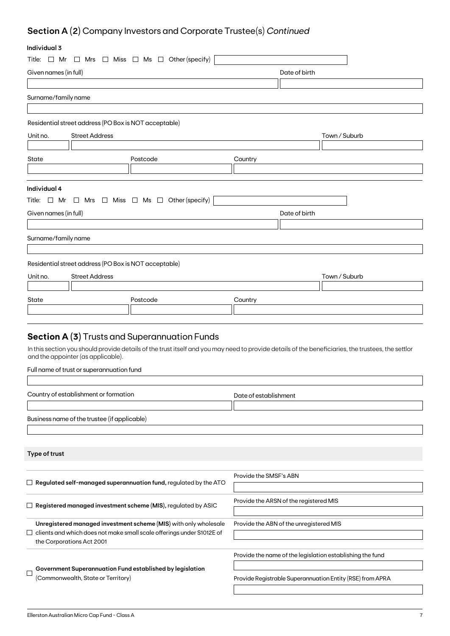# **Section A (2)** Company Investors and Corporate Trustee(s) *Continued*

# **Individual 3**

| individual 3          |                                                       |                                                                                                                                                    |                                         |               |                                                           |
|-----------------------|-------------------------------------------------------|----------------------------------------------------------------------------------------------------------------------------------------------------|-----------------------------------------|---------------|-----------------------------------------------------------|
|                       |                                                       | Title: $\Box$ Mr $\Box$ Mrs $\Box$ Miss $\Box$ Ms $\Box$ Other (specify)                                                                           |                                         |               |                                                           |
| Given names (in full) |                                                       |                                                                                                                                                    |                                         | Date of birth |                                                           |
|                       |                                                       |                                                                                                                                                    |                                         |               |                                                           |
| Surname/family name   |                                                       |                                                                                                                                                    |                                         |               |                                                           |
|                       |                                                       |                                                                                                                                                    |                                         |               |                                                           |
|                       | Residential street address (PO Box is NOT acceptable) |                                                                                                                                                    |                                         |               |                                                           |
| Unit no.              | <b>Street Address</b>                                 |                                                                                                                                                    |                                         |               | Town / Suburb                                             |
|                       |                                                       |                                                                                                                                                    |                                         |               |                                                           |
| State                 |                                                       | Postcode                                                                                                                                           | Country                                 |               |                                                           |
|                       |                                                       |                                                                                                                                                    |                                         |               |                                                           |
|                       |                                                       |                                                                                                                                                    |                                         |               |                                                           |
| Individual 4          |                                                       |                                                                                                                                                    |                                         |               |                                                           |
|                       |                                                       | Title: $\Box$ Mr $\Box$ Mrs $\Box$ Miss $\Box$ Ms $\Box$ Other (specify)                                                                           |                                         |               |                                                           |
| Given names (in full) |                                                       |                                                                                                                                                    |                                         | Date of birth |                                                           |
|                       |                                                       |                                                                                                                                                    |                                         |               |                                                           |
| Surname/family name   |                                                       |                                                                                                                                                    |                                         |               |                                                           |
|                       |                                                       |                                                                                                                                                    |                                         |               |                                                           |
|                       | Residential street address (PO Box is NOT acceptable) |                                                                                                                                                    |                                         |               |                                                           |
| Unit no.              | <b>Street Address</b>                                 |                                                                                                                                                    |                                         |               | Town / Suburb                                             |
|                       |                                                       |                                                                                                                                                    |                                         |               |                                                           |
| State                 |                                                       | Postcode                                                                                                                                           | Country                                 |               |                                                           |
|                       |                                                       |                                                                                                                                                    |                                         |               |                                                           |
|                       |                                                       |                                                                                                                                                    |                                         |               |                                                           |
|                       |                                                       | <b>Section A (3)</b> Trusts and Superannuation Funds                                                                                               |                                         |               |                                                           |
|                       |                                                       | In this section you should provide details of the trust itself and you may need to provide details of the beneficiaries, the trustees, the settlor |                                         |               |                                                           |
|                       | and the appointer (as applicable).                    |                                                                                                                                                    |                                         |               |                                                           |
|                       | Full name of trust or superannuation fund             |                                                                                                                                                    |                                         |               |                                                           |
|                       |                                                       |                                                                                                                                                    |                                         |               |                                                           |
|                       | Country of establishment or formation                 |                                                                                                                                                    | Date of establishment                   |               |                                                           |
|                       |                                                       |                                                                                                                                                    |                                         |               |                                                           |
|                       | Business name of the trustee (if applicable)          |                                                                                                                                                    |                                         |               |                                                           |
|                       |                                                       |                                                                                                                                                    |                                         |               |                                                           |
|                       |                                                       |                                                                                                                                                    |                                         |               |                                                           |
| Type of trust         |                                                       |                                                                                                                                                    |                                         |               |                                                           |
|                       |                                                       |                                                                                                                                                    |                                         |               |                                                           |
|                       |                                                       | $\Box$ Regulated self-managed superannuation fund, regulated by the ATO                                                                            | Provide the SMSF's ABN                  |               |                                                           |
|                       |                                                       |                                                                                                                                                    |                                         |               |                                                           |
|                       |                                                       | $\Box$ Registered managed investment scheme (MIS), regulated by ASIC                                                                               | Provide the ARSN of the registered MIS  |               |                                                           |
|                       |                                                       |                                                                                                                                                    |                                         |               |                                                           |
|                       |                                                       | Unregistered managed investment scheme (MIS) with only wholesale<br>$\Box$ clients and which does not make small scale offerings under S1012E of   | Provide the ABN of the unregistered MIS |               |                                                           |
|                       | the Corporations Act 2001                             |                                                                                                                                                    |                                         |               |                                                           |
|                       |                                                       |                                                                                                                                                    |                                         |               | Provide the name of the legislation establishing the fund |
|                       |                                                       | Government Superannuation Fund established by legislation                                                                                          |                                         |               |                                                           |
|                       |                                                       |                                                                                                                                                    |                                         |               |                                                           |

 $\hfill \square$ (Commonwealth, State or Territory)

Provide Registrable Superannuation Entity (RSE) from APRA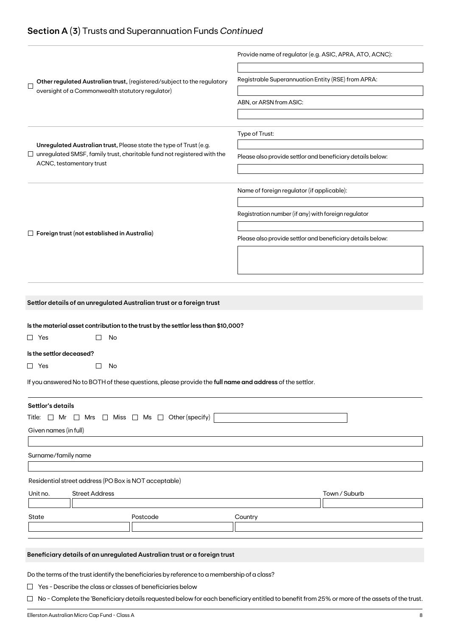# **Section A (3)** Trusts and Superannuation Funds *Continued*

|                                                                                                                                                      | Provide name of regulator (e.g. ASIC, APRA, ATO, ACNC):    |
|------------------------------------------------------------------------------------------------------------------------------------------------------|------------------------------------------------------------|
| Other regulated Australian trust, (registered/subject to the regulatory<br>$\mathbf{I}$<br>oversight of a Commonwealth statutory regulator)          | Registrable Superannuation Entity (RSE) from APRA:         |
|                                                                                                                                                      | ABN, or ARSN from ASIC:                                    |
|                                                                                                                                                      |                                                            |
|                                                                                                                                                      | Type of Trust:                                             |
| Unregulated Australian trust, Please state the type of Trust (e.g.<br>$\Box$ unregulated SMSF, family trust, charitable fund not registered with the |                                                            |
| ACNC, testamentary trust                                                                                                                             | Please also provide settlor and beneficiary details below: |
|                                                                                                                                                      |                                                            |
|                                                                                                                                                      | Name of foreign regulator (if applicable):                 |
|                                                                                                                                                      | Registration number (if any) with foreign regulator        |
|                                                                                                                                                      |                                                            |
| $\Box$ Foreign trust (not established in Australia)                                                                                                  | Please also provide settlor and beneficiary details below: |
|                                                                                                                                                      |                                                            |
|                                                                                                                                                      |                                                            |
|                                                                                                                                                      |                                                            |
|                                                                                                                                                      |                                                            |
| Is the material asset contribution to the trust by the settlor less than \$10,000?<br>$\Box$ Yes<br>No                                               |                                                            |
| Is the settlor deceased?                                                                                                                             |                                                            |
| $\Box$ Yes<br>No                                                                                                                                     |                                                            |
| If you answered No to BOTH of these questions, please provide the full name and address of the settlor.                                              |                                                            |
| Settlor's details                                                                                                                                    |                                                            |
| Title: $\Box$ Mr $\Box$ Mrs $\Box$ Miss $\Box$ Ms $\Box$ Other (specify)                                                                             |                                                            |
| Given names (in full)                                                                                                                                |                                                            |
|                                                                                                                                                      |                                                            |
| Surname/family name                                                                                                                                  |                                                            |
|                                                                                                                                                      |                                                            |
| Residential street address (PO Box is NOT acceptable)                                                                                                |                                                            |
| Unit no.<br><b>Street Address</b>                                                                                                                    | Town / Suburb                                              |
|                                                                                                                                                      |                                                            |
| State<br>Postcode                                                                                                                                    | Country                                                    |
|                                                                                                                                                      |                                                            |
|                                                                                                                                                      |                                                            |
| Beneficiary details of an unregulated Australian trust or a foreign trust                                                                            |                                                            |
|                                                                                                                                                      |                                                            |
| Do the terms of the trust identify the beneficiaries by reference to a membership of a class?                                                        |                                                            |
| $\Box$ Yes - Describe the class or classes of beneficiaries below                                                                                    |                                                            |

□ No - Complete the 'Beneficiary details requested below for each beneficiary entitled to benefit from 25% or more of the assets of the trust.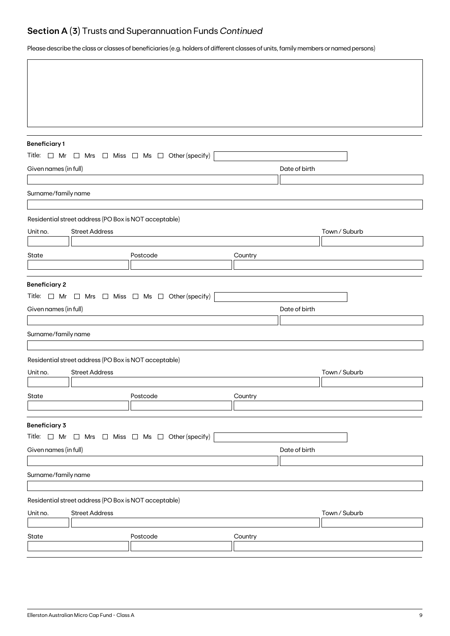# **Section A (3)** Trusts and Superannuation Funds *Continued*

Please describe the class or classes of beneficiaries (e.g. holders of different classes of units, family members or named persons)

| <b>Beneficiary1</b>   |                                                       | Title: $\Box$ Mr $\Box$ Mrs $\Box$ Miss $\Box$ Ms $\Box$ Other (specify) |               |               |
|-----------------------|-------------------------------------------------------|--------------------------------------------------------------------------|---------------|---------------|
| Given names (in full) |                                                       |                                                                          | Date of birth |               |
|                       |                                                       |                                                                          |               |               |
| Surname/family name   |                                                       |                                                                          |               |               |
|                       |                                                       |                                                                          |               |               |
|                       | Residential street address (PO Box is NOT acceptable) |                                                                          |               |               |
| Unit no.              | <b>Street Address</b>                                 |                                                                          |               | Town / Suburb |
| State                 |                                                       | Postcode                                                                 | Country       |               |
|                       |                                                       |                                                                          |               |               |
| <b>Beneficiary 2</b>  |                                                       |                                                                          |               |               |
|                       |                                                       | Title: $\Box$ Mr $\Box$ Mrs $\Box$ Miss $\Box$ Ms $\Box$ Other (specify) |               |               |
| Given names (in full) |                                                       |                                                                          | Date of birth |               |
|                       |                                                       |                                                                          |               |               |
| Surname/family name   |                                                       |                                                                          |               |               |
|                       | Residential street address (PO Box is NOT acceptable) |                                                                          |               |               |
| Unit no.              | <b>Street Address</b>                                 |                                                                          |               | Town / Suburb |
|                       |                                                       |                                                                          |               |               |
| State                 |                                                       | Postcode                                                                 | Country       |               |
|                       |                                                       |                                                                          |               |               |
| <b>Beneficiary 3</b>  |                                                       | Title: $\Box$ Mr $\Box$ Mrs $\Box$ Miss $\Box$ Ms $\Box$ Other (specify) |               |               |
| Given names (in full) |                                                       |                                                                          | Date of birth |               |
|                       |                                                       |                                                                          |               |               |
| Surname/family name   |                                                       |                                                                          |               |               |
|                       |                                                       |                                                                          |               |               |
|                       | Residential street address (PO Box is NOT acceptable) |                                                                          |               |               |
| Unit no.              | <b>Street Address</b>                                 |                                                                          |               | Town / Suburb |
| State                 |                                                       | Postcode                                                                 | Country       |               |
|                       |                                                       |                                                                          |               |               |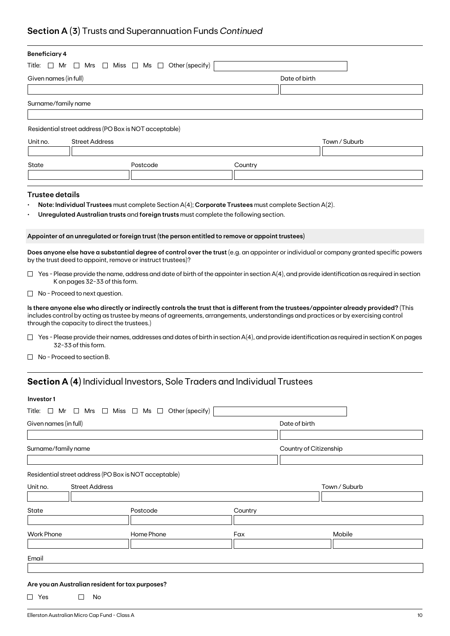# **Section A (3)** Trusts and Superannuation Funds *Continued*

| <b>Beneficiary 4</b>                                                                                                                                                                                                                                                                                                           |                                                                                                      |                        |               |
|--------------------------------------------------------------------------------------------------------------------------------------------------------------------------------------------------------------------------------------------------------------------------------------------------------------------------------|------------------------------------------------------------------------------------------------------|------------------------|---------------|
| Title:<br>$\Box$ Mr<br>∟l Mrs                                                                                                                                                                                                                                                                                                  | $\Box$ Miss $\Box$ Ms $\Box$ Other (specify)                                                         |                        |               |
| Given names (in full)                                                                                                                                                                                                                                                                                                          |                                                                                                      | Date of birth          |               |
|                                                                                                                                                                                                                                                                                                                                |                                                                                                      |                        |               |
| Surname/family name                                                                                                                                                                                                                                                                                                            |                                                                                                      |                        |               |
|                                                                                                                                                                                                                                                                                                                                |                                                                                                      |                        |               |
| Residential street address (PO Box is NOT acceptable)                                                                                                                                                                                                                                                                          |                                                                                                      |                        |               |
| Unit no.<br><b>Street Address</b>                                                                                                                                                                                                                                                                                              |                                                                                                      |                        | Town / Suburb |
|                                                                                                                                                                                                                                                                                                                                |                                                                                                      |                        |               |
| State                                                                                                                                                                                                                                                                                                                          | Postcode                                                                                             | Country                |               |
|                                                                                                                                                                                                                                                                                                                                |                                                                                                      |                        |               |
| <b>Trustee details</b>                                                                                                                                                                                                                                                                                                         |                                                                                                      |                        |               |
|                                                                                                                                                                                                                                                                                                                                | Note: Individual Trustees must complete Section A(4); Corporate Trustees must complete Section A(2). |                        |               |
|                                                                                                                                                                                                                                                                                                                                | Unregulated Australian trusts and foreign trusts must complete the following section.                |                        |               |
|                                                                                                                                                                                                                                                                                                                                |                                                                                                      |                        |               |
| Appointer of an unregulated or foreign trust (the person entitled to remove or appoint trustees)                                                                                                                                                                                                                               |                                                                                                      |                        |               |
| Does anyone else have a substantial degree of control over the trust (e.g. an appointer or individual or company granted specific powers<br>by the trust deed to appoint, remove or instruct trustees)?                                                                                                                        |                                                                                                      |                        |               |
| $\Box$ Yes - Please provide the name, address and date of birth of the appointer in section A(4), and provide identification as required in section<br>K on pages 32-33 of this form.                                                                                                                                          |                                                                                                      |                        |               |
| $\Box$ No - Proceed to next question.                                                                                                                                                                                                                                                                                          |                                                                                                      |                        |               |
| Is there anyone else who directly or indirectly controls the trust that is different from the trustees/appointer already provided? (This<br>includes control by acting as trustee by means of agreements, arrangements, understandings and practices or by exercising control<br>through the capacity to direct the trustees.) |                                                                                                      |                        |               |
| $\Box$ Yes - Please provide their names, addresses and dates of birth in section A(4), and provide identification as required in section K on pages<br>32-33 of this form.                                                                                                                                                     |                                                                                                      |                        |               |
| $\Box$ No - Proceed to section B.                                                                                                                                                                                                                                                                                              |                                                                                                      |                        |               |
| <b>Section A (4)</b> Individual Investors, Sole Traders and Individual Trustees                                                                                                                                                                                                                                                |                                                                                                      |                        |               |
| Investor1                                                                                                                                                                                                                                                                                                                      |                                                                                                      |                        |               |
| Title: $\Box$ Mr $\Box$ Mrs $\Box$ Miss $\Box$ Ms $\Box$ Other (specify)                                                                                                                                                                                                                                                       |                                                                                                      |                        |               |
| Given names (in full)                                                                                                                                                                                                                                                                                                          |                                                                                                      | Date of birth          |               |
|                                                                                                                                                                                                                                                                                                                                |                                                                                                      |                        |               |
|                                                                                                                                                                                                                                                                                                                                |                                                                                                      |                        |               |
| Surname/family name                                                                                                                                                                                                                                                                                                            |                                                                                                      | Country of Citizenship |               |
|                                                                                                                                                                                                                                                                                                                                |                                                                                                      |                        |               |

Residential street address (PO Box is NOT acceptable)

| Unit no.          | <b>Street Address</b> |            |         | Town / Suburb |
|-------------------|-----------------------|------------|---------|---------------|
|                   |                       |            |         |               |
| State             |                       | Postcode   | Country |               |
|                   |                       |            |         |               |
| <b>Work Phone</b> |                       | Home Phone | Fax     | Mobile        |
|                   |                       |            |         |               |
| Email             |                       |            |         |               |
|                   |                       |            |         |               |

# **Are you an Australian resident for tax purposes?**

 $\Box$  Yes  $\Box$  No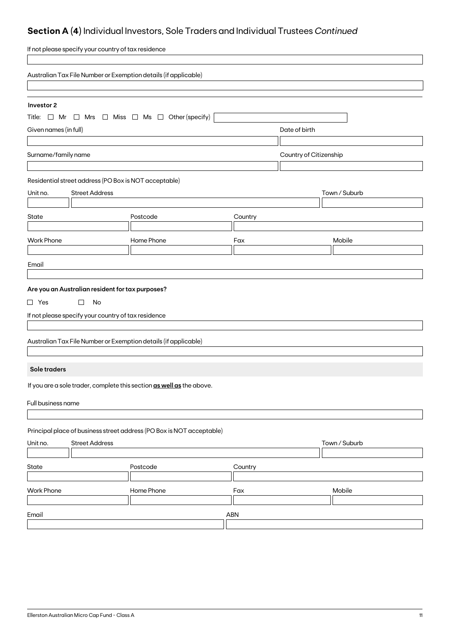# **Section A (4)** Individual Investors, Sole Traders and Individual Trustees *Continued*

| If not please specify your country of tax residence                      |               |         |                        |               |  |
|--------------------------------------------------------------------------|---------------|---------|------------------------|---------------|--|
| Australian Tax File Number or Exemption details (if applicable)          |               |         |                        |               |  |
| Investor 2                                                               |               |         |                        |               |  |
| Title: $\Box$ Mr $\Box$ Mrs $\Box$ Miss $\Box$ Ms $\Box$ Other (specify) |               |         |                        |               |  |
| Given names (in full)                                                    |               |         | Date of birth          |               |  |
|                                                                          |               |         |                        |               |  |
| Surname/family name                                                      |               |         | Country of Citizenship |               |  |
|                                                                          |               |         |                        |               |  |
| Residential street address (PO Box is NOT acceptable)                    |               |         |                        |               |  |
| <b>Street Address</b><br>Unit no.                                        |               |         |                        | Town / Suburb |  |
|                                                                          |               |         |                        |               |  |
| State                                                                    | Postcode      | Country |                        |               |  |
|                                                                          |               |         |                        |               |  |
| <b>Work Phone</b>                                                        | Home Phone    | Fax     |                        | Mobile        |  |
|                                                                          |               |         |                        |               |  |
| Email                                                                    |               |         |                        |               |  |
|                                                                          |               |         |                        |               |  |
| Are you an Australian resident for tax purposes?                         |               |         |                        |               |  |
| $\Box$ Yes<br>$\Box$<br>No                                               |               |         |                        |               |  |
| If not please specify your country of tax residence                      |               |         |                        |               |  |
|                                                                          |               |         |                        |               |  |
| Australian Tax File Number or Exemption details (if applicable)          |               |         |                        |               |  |
|                                                                          |               |         |                        |               |  |
| Sole traders                                                             |               |         |                        |               |  |
| If you are a sole trader, complete this section as well as the above.    |               |         |                        |               |  |
| Full business name                                                       |               |         |                        |               |  |
|                                                                          |               |         |                        |               |  |
| Principal place of business street address (PO Box is NOT acceptable)    |               |         |                        |               |  |
| <b>Street Address</b><br>Unit no.                                        | Town / Suburb |         |                        |               |  |
|                                                                          |               |         |                        |               |  |
| State                                                                    | Postcode      | Country |                        |               |  |
|                                                                          |               |         |                        |               |  |
| <b>Work Phone</b>                                                        | Home Phone    | Fax     |                        | Mobile        |  |
|                                                                          |               |         |                        |               |  |
| Email                                                                    |               | ABN     |                        |               |  |
|                                                                          |               |         |                        |               |  |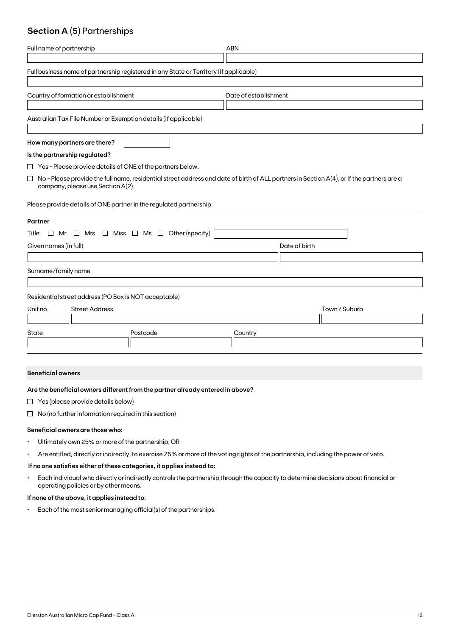# **Section A (5)** Partnerships

| Full name of partnership                                                                                                                                                                 | <b>ABN</b>                                                                             |  |  |  |  |  |  |
|------------------------------------------------------------------------------------------------------------------------------------------------------------------------------------------|----------------------------------------------------------------------------------------|--|--|--|--|--|--|
|                                                                                                                                                                                          | Full business name of partnership registered in any State or Territory (if applicable) |  |  |  |  |  |  |
| Country of formation or establishment                                                                                                                                                    | Date of establishment                                                                  |  |  |  |  |  |  |
| Australian Tax File Number or Exemption details (if applicable)                                                                                                                          |                                                                                        |  |  |  |  |  |  |
| How many partners are there?                                                                                                                                                             |                                                                                        |  |  |  |  |  |  |
| Is the partnership regulated?                                                                                                                                                            |                                                                                        |  |  |  |  |  |  |
| $\Box$ Yes - Please provide details of ONE of the partners below.                                                                                                                        |                                                                                        |  |  |  |  |  |  |
| $\Box$<br>No - Please provide the full name, residential street address and date of birth of ALL partners in Section A(4), or if the partners are a<br>company, please use Section A(2). |                                                                                        |  |  |  |  |  |  |
| Please provide details of ONE partner in the regulated partnership                                                                                                                       |                                                                                        |  |  |  |  |  |  |
| Partner                                                                                                                                                                                  |                                                                                        |  |  |  |  |  |  |
| Title: $\Box$ Mr $\Box$ Mrs $\Box$ Miss $\Box$ Ms $\Box$ Other (specify)                                                                                                                 |                                                                                        |  |  |  |  |  |  |
| Given names (in full)                                                                                                                                                                    | Date of birth                                                                          |  |  |  |  |  |  |
|                                                                                                                                                                                          |                                                                                        |  |  |  |  |  |  |
| Surname/family name                                                                                                                                                                      |                                                                                        |  |  |  |  |  |  |
| Residential street address (PO Box is NOT acceptable)                                                                                                                                    |                                                                                        |  |  |  |  |  |  |
| <b>Street Address</b><br>Unit no.                                                                                                                                                        | Town / Suburb                                                                          |  |  |  |  |  |  |
|                                                                                                                                                                                          |                                                                                        |  |  |  |  |  |  |
| State<br>Postcode                                                                                                                                                                        | Country                                                                                |  |  |  |  |  |  |
|                                                                                                                                                                                          |                                                                                        |  |  |  |  |  |  |

### **Beneficial owners**

### **Are the beneficial owners different from the partner already entered in above?**

- $\Box$  Yes (please provide details below)
- $\Box$  No (no further information required in this section)

### **Beneficial owners are those who:**

- Ultimately own 25% or more of the partnership, OR
- Are entitled, directly or indirectly, to exercise 25% or more of the voting rights of the partnership, including the power of veto.

# **If no one satisfies either of these categories, it applies instead to:**

• Each individual who directly or indirectly controls the partnership through the capacity to determine decisions about financial or operating policies or by other means.

## **If none of the above, it applies instead to:**

• Each of the most senior managing official(s) of the partnerships.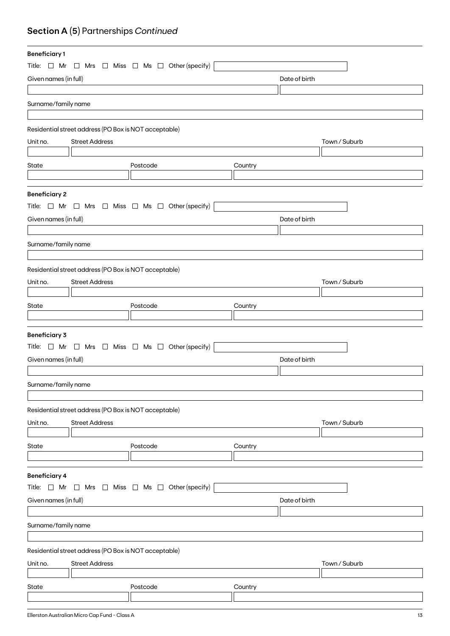# **Section A (5)** Partnerships *Continued*

| <b>Beneficiary1</b>   |                                                       |                                                                          |               |               |  |
|-----------------------|-------------------------------------------------------|--------------------------------------------------------------------------|---------------|---------------|--|
|                       |                                                       | Title: $\Box$ Mr $\Box$ Mrs $\Box$ Miss $\Box$ Ms $\Box$ Other (specify) |               |               |  |
| Given names (in full) |                                                       |                                                                          | Date of birth |               |  |
|                       |                                                       |                                                                          |               |               |  |
| Surname/family name   |                                                       |                                                                          |               |               |  |
|                       |                                                       |                                                                          |               |               |  |
|                       |                                                       |                                                                          |               |               |  |
|                       | Residential street address (PO Box is NOT acceptable) |                                                                          |               |               |  |
| Unit no.              | <b>Street Address</b>                                 |                                                                          |               | Town / Suburb |  |
|                       |                                                       |                                                                          |               |               |  |
| State                 |                                                       | Postcode                                                                 | Country       |               |  |
|                       |                                                       |                                                                          |               |               |  |
| <b>Beneficiary 2</b>  |                                                       |                                                                          |               |               |  |
|                       |                                                       | Title: $\Box$ Mr $\Box$ Mrs $\Box$ Miss $\Box$ Ms $\Box$ Other (specify) |               |               |  |
| Given names (in full) |                                                       |                                                                          | Date of birth |               |  |
|                       |                                                       |                                                                          |               |               |  |
|                       |                                                       |                                                                          |               |               |  |
| Surname/family name   |                                                       |                                                                          |               |               |  |
|                       |                                                       |                                                                          |               |               |  |
|                       | Residential street address (PO Box is NOT acceptable) |                                                                          |               |               |  |
| Unit no.              | <b>Street Address</b>                                 |                                                                          |               | Town / Suburb |  |
|                       |                                                       |                                                                          |               |               |  |
| State                 |                                                       | Postcode                                                                 | Country       |               |  |
|                       |                                                       |                                                                          |               |               |  |
| <b>Beneficiary 3</b>  |                                                       |                                                                          |               |               |  |
|                       |                                                       | Title: $\Box$ Mr $\Box$ Mrs $\Box$ Miss $\Box$ Ms $\Box$ Other (specify) |               |               |  |
| Given names (in full) |                                                       |                                                                          | Date of birth |               |  |
|                       |                                                       |                                                                          |               |               |  |
| Surname/family name   |                                                       |                                                                          |               |               |  |
|                       |                                                       |                                                                          |               |               |  |
|                       | Residential street address (PO Box is NOT acceptable) |                                                                          |               |               |  |
| Unit no.              | <b>Street Address</b>                                 |                                                                          |               | Town / Suburb |  |
|                       |                                                       |                                                                          |               |               |  |
| State                 |                                                       | Postcode                                                                 | Country       |               |  |
|                       |                                                       |                                                                          |               |               |  |
|                       |                                                       |                                                                          |               |               |  |
| <b>Beneficiary 4</b>  |                                                       |                                                                          |               |               |  |
| Title: $\Box$ Mr      |                                                       |                                                                          |               |               |  |
| Given names (in full) |                                                       |                                                                          |               |               |  |
|                       |                                                       | $\Box$ Mrs $\Box$ Miss $\Box$ Ms $\Box$ Other (specify)                  | Date of birth |               |  |
|                       |                                                       |                                                                          |               |               |  |
|                       |                                                       |                                                                          |               |               |  |
| Surname/family name   |                                                       |                                                                          |               |               |  |
|                       |                                                       |                                                                          |               |               |  |
|                       | Residential street address (PO Box is NOT acceptable) |                                                                          |               |               |  |
| Unit no.              | <b>Street Address</b>                                 |                                                                          |               | Town / Suburb |  |
|                       |                                                       |                                                                          |               |               |  |
| State                 |                                                       | Postcode                                                                 | Country       |               |  |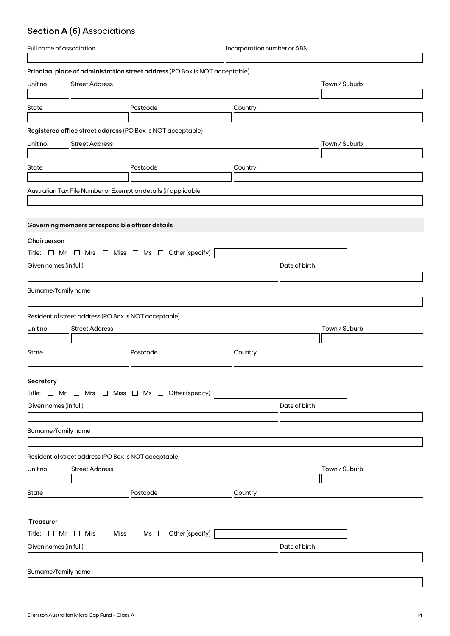# **Section A (6)** Associations

| Full name of association |                                                       | Incorporation number or ABN                                                 |         |               |  |
|--------------------------|-------------------------------------------------------|-----------------------------------------------------------------------------|---------|---------------|--|
|                          |                                                       |                                                                             |         |               |  |
|                          |                                                       | Principal place of administration street address (PO Box is NOT acceptable) |         |               |  |
| Unit no.                 | <b>Street Address</b>                                 |                                                                             |         | Town / Suburb |  |
|                          |                                                       |                                                                             |         |               |  |
| State                    |                                                       | Postcode                                                                    | Country |               |  |
|                          |                                                       |                                                                             |         |               |  |
|                          |                                                       | Registered office street address (PO Box is NOT acceptable)                 |         |               |  |
| Unit no.                 | <b>Street Address</b>                                 |                                                                             |         | Town / Suburb |  |
|                          |                                                       |                                                                             |         |               |  |
| State                    |                                                       | Postcode                                                                    | Country |               |  |
|                          |                                                       |                                                                             |         |               |  |
|                          |                                                       | Australian Tax File Number or Exemption details (if applicable              |         |               |  |
|                          |                                                       |                                                                             |         |               |  |
|                          |                                                       |                                                                             |         |               |  |
|                          | Governing members or responsible officer details      |                                                                             |         |               |  |
| Chairperson              |                                                       |                                                                             |         |               |  |
|                          |                                                       | Title: $\Box$ Mr $\Box$ Mrs $\Box$ Miss $\Box$ Ms $\Box$ Other (specify)    |         |               |  |
|                          |                                                       |                                                                             |         |               |  |
| Given names (in full)    |                                                       |                                                                             |         | Date of birth |  |
|                          |                                                       |                                                                             |         |               |  |
| Surname/family name      |                                                       |                                                                             |         |               |  |
|                          |                                                       |                                                                             |         |               |  |
|                          | Residential street address (PO Box is NOT acceptable) |                                                                             |         |               |  |
| Unit no.                 | <b>Street Address</b>                                 |                                                                             |         | Town / Suburb |  |
|                          |                                                       |                                                                             |         |               |  |
| State                    |                                                       | Postcode                                                                    | Country |               |  |
|                          |                                                       |                                                                             |         |               |  |
| <b>Secretary</b>         |                                                       |                                                                             |         |               |  |
|                          |                                                       | Title: $\Box$ Mr $\Box$ Mrs $\Box$ Miss $\Box$ Ms $\Box$ Other (specify)    |         |               |  |
| Given names (in full)    |                                                       |                                                                             |         | Date of birth |  |
|                          |                                                       |                                                                             |         |               |  |
|                          |                                                       |                                                                             |         |               |  |
| Surname/family name      |                                                       |                                                                             |         |               |  |
|                          |                                                       |                                                                             |         |               |  |
|                          | Residential street address (PO Box is NOT acceptable) |                                                                             |         |               |  |
| Unit no.                 | <b>Street Address</b>                                 |                                                                             |         | Town / Suburb |  |
|                          |                                                       |                                                                             |         |               |  |
| State                    |                                                       | Postcode                                                                    | Country |               |  |
|                          |                                                       |                                                                             |         |               |  |
| <b>Treasurer</b>         |                                                       |                                                                             |         |               |  |
|                          |                                                       | Title: $\Box$ Mr $\Box$ Mrs $\Box$ Miss $\Box$ Ms $\Box$ Other (specify)    |         |               |  |
|                          |                                                       |                                                                             |         |               |  |
| Given names (in full)    |                                                       |                                                                             |         | Date of birth |  |
|                          |                                                       |                                                                             |         |               |  |
| Surname/family name      |                                                       |                                                                             |         |               |  |
|                          |                                                       |                                                                             |         |               |  |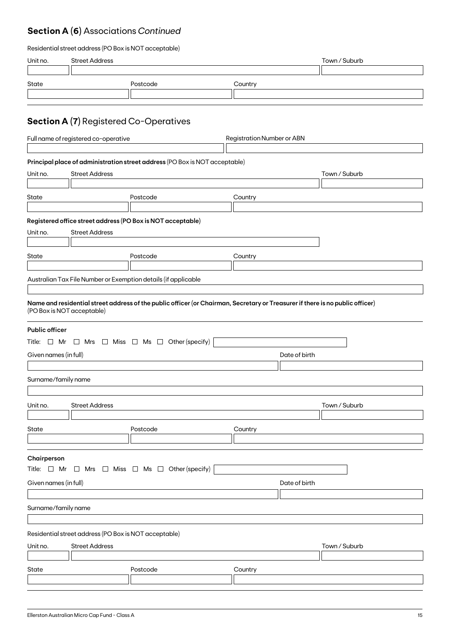# **Section A (6)** Associations *Continued*

| Residential street address (PO Box is NOT acceptable) |  |  |
|-------------------------------------------------------|--|--|
|-------------------------------------------------------|--|--|

| Unit no.              | <b>Street Address</b>                                                                                |                                                                                                                               |                                   | Town / Suburb |
|-----------------------|------------------------------------------------------------------------------------------------------|-------------------------------------------------------------------------------------------------------------------------------|-----------------------------------|---------------|
| State                 |                                                                                                      | Postcode                                                                                                                      | Country                           |               |
|                       |                                                                                                      |                                                                                                                               |                                   |               |
|                       | <b>Section A (7)</b> Registered Co-Operatives                                                        |                                                                                                                               |                                   |               |
|                       | Full name of registered co-operative                                                                 |                                                                                                                               | <b>Registration Number or ABN</b> |               |
|                       |                                                                                                      |                                                                                                                               |                                   |               |
| Unit no.              | Principal place of administration street address (PO Box is NOT acceptable)<br><b>Street Address</b> |                                                                                                                               |                                   | Town / Suburb |
|                       |                                                                                                      |                                                                                                                               |                                   |               |
| State                 |                                                                                                      | Postcode                                                                                                                      | Country                           |               |
|                       |                                                                                                      |                                                                                                                               |                                   |               |
|                       |                                                                                                      | Registered office street address (PO Box is NOT acceptable)                                                                   |                                   |               |
| Unit no.              | <b>Street Address</b>                                                                                |                                                                                                                               |                                   |               |
| State                 |                                                                                                      | Postcode                                                                                                                      | Country                           |               |
|                       |                                                                                                      |                                                                                                                               |                                   |               |
|                       |                                                                                                      | Australian Tax File Number or Exemption details (if applicable                                                                |                                   |               |
|                       |                                                                                                      |                                                                                                                               |                                   |               |
|                       | (PO Box is NOT acceptable)                                                                           | Name and residential street address of the public officer (or Chairman, Secretary or Treasurer if there is no public officer) |                                   |               |
| <b>Public officer</b> |                                                                                                      |                                                                                                                               |                                   |               |
|                       |                                                                                                      | Title: $\Box$ Mr $\Box$ Mrs $\Box$ Miss $\Box$ Ms $\Box$ Other (specify)                                                      |                                   |               |
| Given names (in full) |                                                                                                      |                                                                                                                               | Date of birth                     |               |
|                       |                                                                                                      |                                                                                                                               |                                   |               |
| Surname/family name   |                                                                                                      |                                                                                                                               |                                   |               |
|                       |                                                                                                      |                                                                                                                               |                                   |               |
| Unit no.              | <b>Street Address</b>                                                                                |                                                                                                                               |                                   | Town / Suburb |
| State                 |                                                                                                      | Postcode                                                                                                                      | Country                           |               |
|                       |                                                                                                      |                                                                                                                               |                                   |               |
|                       |                                                                                                      |                                                                                                                               |                                   |               |
| Chairperson           |                                                                                                      | Title: $\Box$ Mr $\Box$ Mrs $\Box$ Miss $\Box$ Ms $\Box$ Other (specify)                                                      |                                   |               |
| Given names (in full) |                                                                                                      |                                                                                                                               | Date of birth                     |               |
|                       |                                                                                                      |                                                                                                                               |                                   |               |
| Surname/family name   |                                                                                                      |                                                                                                                               |                                   |               |
|                       |                                                                                                      |                                                                                                                               |                                   |               |
|                       | Residential street address (PO Box is NOT acceptable)                                                |                                                                                                                               |                                   |               |
| Unit no.              | <b>Street Address</b>                                                                                |                                                                                                                               |                                   | Town / Suburb |
|                       |                                                                                                      |                                                                                                                               |                                   |               |
| State                 |                                                                                                      | Postcode                                                                                                                      | Country                           |               |
|                       |                                                                                                      |                                                                                                                               |                                   |               |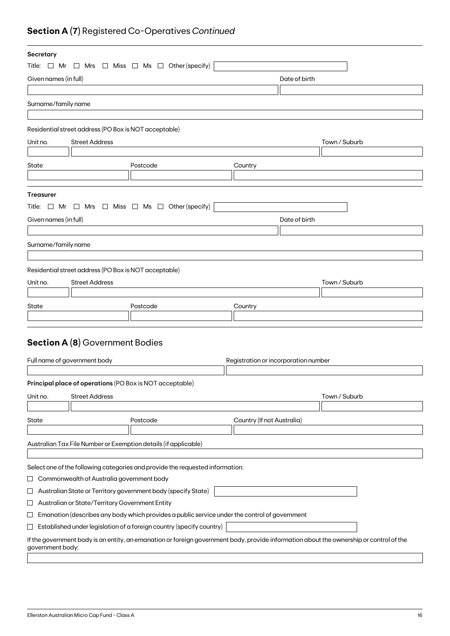# **Section A (7)** Registered Co-Operatives *Continued*

| Secretary                                                                                                                                                   |                                                                                               |                                      |               |  |
|-------------------------------------------------------------------------------------------------------------------------------------------------------------|-----------------------------------------------------------------------------------------------|--------------------------------------|---------------|--|
| Title: $\Box$ Mr $\Box$ Mrs $\Box$ Miss $\Box$ Ms $\Box$ Other (specify)                                                                                    |                                                                                               |                                      |               |  |
| Given names (in full)                                                                                                                                       |                                                                                               | Date of birth                        |               |  |
|                                                                                                                                                             |                                                                                               |                                      |               |  |
| Surname/family name                                                                                                                                         |                                                                                               |                                      |               |  |
|                                                                                                                                                             |                                                                                               |                                      |               |  |
| Residential street address (PO Box is NOT acceptable)                                                                                                       |                                                                                               |                                      |               |  |
| <b>Street Address</b><br>Unit no.                                                                                                                           |                                                                                               |                                      | Town / Suburb |  |
|                                                                                                                                                             |                                                                                               |                                      |               |  |
| State                                                                                                                                                       | Postcode                                                                                      | Country                              |               |  |
|                                                                                                                                                             |                                                                                               |                                      |               |  |
|                                                                                                                                                             |                                                                                               |                                      |               |  |
| <b>Treasurer</b>                                                                                                                                            |                                                                                               |                                      |               |  |
| Title: $\Box$ Mr $\Box$ Mrs $\Box$ Miss $\Box$ Ms $\Box$ Other (specify)                                                                                    |                                                                                               |                                      |               |  |
| Given names (in full)                                                                                                                                       |                                                                                               | Date of birth                        |               |  |
|                                                                                                                                                             |                                                                                               |                                      |               |  |
| Surname/family name                                                                                                                                         |                                                                                               |                                      |               |  |
|                                                                                                                                                             |                                                                                               |                                      |               |  |
| Residential street address (PO Box is NOT acceptable)                                                                                                       |                                                                                               |                                      |               |  |
| Unit no.<br><b>Street Address</b>                                                                                                                           |                                                                                               |                                      | Town / Suburb |  |
|                                                                                                                                                             |                                                                                               |                                      |               |  |
| State                                                                                                                                                       | Postcode                                                                                      | Country                              |               |  |
|                                                                                                                                                             |                                                                                               |                                      |               |  |
|                                                                                                                                                             |                                                                                               |                                      |               |  |
| <b>Section A (8)</b> Government Bodies                                                                                                                      |                                                                                               |                                      |               |  |
|                                                                                                                                                             |                                                                                               |                                      |               |  |
| Full name of government body                                                                                                                                |                                                                                               | Registration or incorporation number |               |  |
|                                                                                                                                                             |                                                                                               |                                      |               |  |
| Principal place of operations (PO Box is NOT acceptable)                                                                                                    |                                                                                               |                                      |               |  |
| Unit no.<br><b>Street Address</b>                                                                                                                           |                                                                                               |                                      | Town / Suburb |  |
|                                                                                                                                                             |                                                                                               |                                      |               |  |
| State                                                                                                                                                       | Postcode                                                                                      | Country (If not Australia)           |               |  |
|                                                                                                                                                             |                                                                                               |                                      |               |  |
| Australian Tax File Number or Exemption details (if applicable)                                                                                             |                                                                                               |                                      |               |  |
|                                                                                                                                                             |                                                                                               |                                      |               |  |
| Select one of the following categories and provide the requested information:                                                                               |                                                                                               |                                      |               |  |
| Commonwealth of Australia government body<br>ப                                                                                                              |                                                                                               |                                      |               |  |
| Australian State or Territory government body (specify State)<br>ப                                                                                          |                                                                                               |                                      |               |  |
| Australian or State/Territory Government Entity<br>ப                                                                                                        |                                                                                               |                                      |               |  |
| $\sqcup$                                                                                                                                                    | Emanation (describes any body which provides a public service under the control of government |                                      |               |  |
| $\sqcup$                                                                                                                                                    | Established under legislation of a foreign country (specify country)                          |                                      |               |  |
| If the government body is an entity, an emanation or foreign government body, provide information about the ownership or control of the<br>government body: |                                                                                               |                                      |               |  |
|                                                                                                                                                             |                                                                                               |                                      |               |  |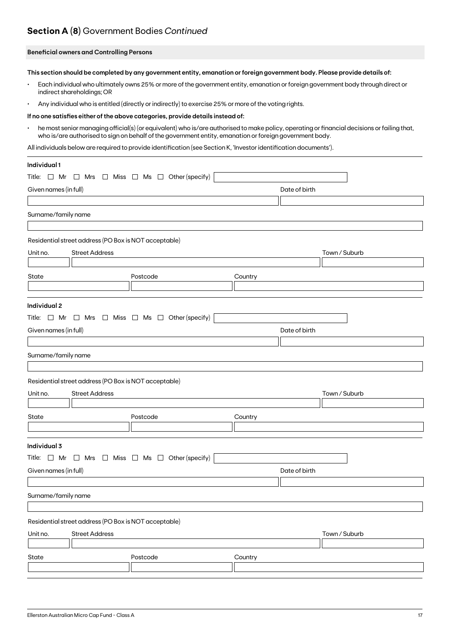# **Section A (8)** Government Bodies *Continued*

## **Beneficial owners and Controlling Persons**

**This section should be completed by any government entity, emanation or foreign government body. Please provide details of:**

- Each individual who ultimately owns 25% or more of the government entity, emanation or foreign government body through direct or indirect shareholdings; OR
- Any individual who is entitled (directly or indirectly) to exercise 25% or more of the voting rights.

#### **If no one satisfies either of the above categories, provide details instead of:**

• he most senior managing official(s) (or equivalent) who is/are authorised to make policy, operating or financial decisions or failing that, who is/are authorised to sign on behalf of the government entity, emanation or foreign government body.

All individuals below are required to provide identification (see Section K, 'Investor identification documents').

| Individual 1                                                             |                                                         |               |               |
|--------------------------------------------------------------------------|---------------------------------------------------------|---------------|---------------|
| Title: $\Box$ Mr                                                         | $\Box$ Mrs $\Box$ Miss $\Box$ Ms $\Box$ Other (specify) |               |               |
| Given names (in full)                                                    |                                                         | Date of birth |               |
|                                                                          |                                                         |               |               |
| Surname/family name                                                      |                                                         |               |               |
|                                                                          |                                                         |               |               |
| Residential street address (PO Box is NOT acceptable)                    |                                                         |               |               |
| <b>Street Address</b><br>Unit no.                                        |                                                         |               | Town / Suburb |
|                                                                          |                                                         |               |               |
| State                                                                    | Postcode                                                | Country       |               |
|                                                                          |                                                         |               |               |
| Individual 2                                                             |                                                         |               |               |
| Title: $\Box$ Mr $\Box$ Mrs $\Box$ Miss $\Box$ Ms $\Box$ Other (specify) |                                                         |               |               |
| Given names (in full)                                                    |                                                         | Date of birth |               |
|                                                                          |                                                         |               |               |
| Surname/family name                                                      |                                                         |               |               |
|                                                                          |                                                         |               |               |
| Residential street address (PO Box is NOT acceptable)                    |                                                         |               |               |
| Unit no.<br><b>Street Address</b>                                        |                                                         |               | Town / Suburb |
|                                                                          |                                                         |               |               |
| State                                                                    | Postcode                                                | Country       |               |
|                                                                          |                                                         |               |               |
| Individual 3                                                             |                                                         |               |               |
| Title: $\Box$ Mr $\Box$ Mrs $\Box$ Miss $\Box$ Ms $\Box$ Other (specify) |                                                         |               |               |
| Given names (in full)                                                    |                                                         | Date of birth |               |
|                                                                          |                                                         |               |               |
| Surname/family name                                                      |                                                         |               |               |
|                                                                          |                                                         |               |               |
| Residential street address (PO Box is NOT acceptable)                    |                                                         |               |               |
| Unit no.<br><b>Street Address</b>                                        |                                                         |               | Town / Suburb |
|                                                                          |                                                         |               |               |
| State                                                                    | Postcode                                                | Country       |               |
|                                                                          |                                                         |               |               |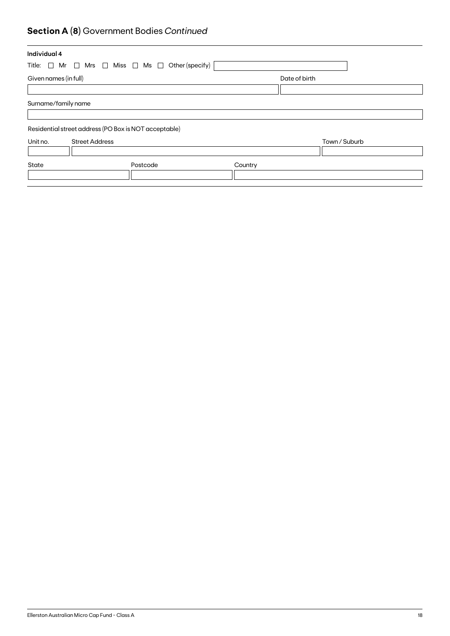# **Section A (8)** Government Bodies *Continued*

| Individual 4          |                                                                          |               |               |
|-----------------------|--------------------------------------------------------------------------|---------------|---------------|
|                       | Title: $\Box$ Mr $\Box$ Mrs $\Box$ Miss $\Box$ Ms $\Box$ Other (specify) |               |               |
| Given names (in full) |                                                                          | Date of birth |               |
|                       |                                                                          |               |               |
| Surname/family name   |                                                                          |               |               |
|                       |                                                                          |               |               |
|                       | Residential street address (PO Box is NOT acceptable)                    |               |               |
| Unit no.              | <b>Street Address</b>                                                    |               | Town / Suburb |
|                       |                                                                          |               |               |
|                       | Postcode                                                                 | Country       |               |
|                       |                                                                          |               |               |
| State                 |                                                                          |               |               |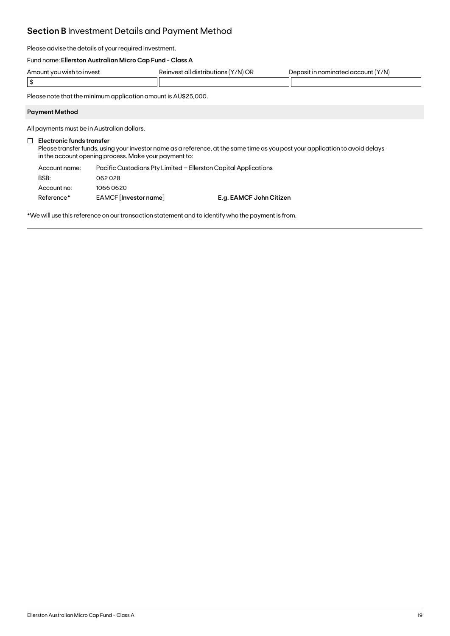# **Section B** Investment Details and Payment Method

Please advise the details of your required investment.

# Fund name: **Ellerston Australian Micro Cap Fund - Class A**

| Amount<br>to invest<br>t vou wish tr | '/N) or<br>20101/09<br>all distribi<br>טר | Y/N)<br>∩⊔n<br>nei |
|--------------------------------------|-------------------------------------------|--------------------|
| - 11                                 |                                           |                    |

Please note that the minimum application amount is AU\$25,000.

### **Payment Method**

All payments must be in Australian dollars.

# **Electronic funds transfer**

Please transfer funds, using your investor name as a reference, at the same time as you post your application to avoid delays in the account opening process. Make your payment to:

| Account name: | Pacific Custodians Pty Limited – Ellerston Capital Applications |                         |  |
|---------------|-----------------------------------------------------------------|-------------------------|--|
| BSB:          | 062028                                                          |                         |  |
| Account no:   | 10660620                                                        |                         |  |
| Reference*    | EAMCF [Investor name]                                           | E.g. EAMCF John Citizen |  |

\*We will use this reference on our transaction statement and to identify who the payment is from.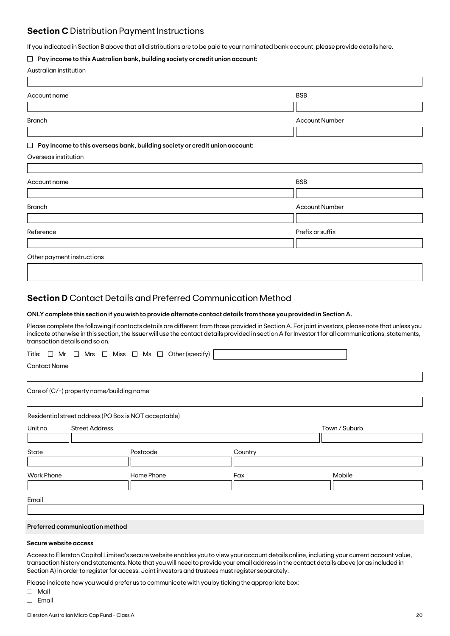# **Section C** Distribution Payment Instructions

If you indicated in Section B above that all distributions are to be paid to your nominated bank account, please provide details here.

## **Pay income to this Australian bank, building society or credit union account:**

|  | Australian institution |
|--|------------------------|
|--|------------------------|

| Account name                                                                          | <b>BSB</b>            |
|---------------------------------------------------------------------------------------|-----------------------|
|                                                                                       |                       |
| <b>Branch</b>                                                                         | <b>Account Number</b> |
|                                                                                       |                       |
| Pay income to this overseas bank, building society or credit union account:<br>$\Box$ |                       |
| Overseas institution                                                                  |                       |
|                                                                                       |                       |
| Account name                                                                          | <b>BSB</b>            |
|                                                                                       |                       |
| <b>Branch</b>                                                                         | <b>Account Number</b> |
|                                                                                       |                       |
| Reference                                                                             | Prefix or suffix      |
|                                                                                       |                       |
| Other payment instructions                                                            |                       |
|                                                                                       |                       |

# **Section D** Contact Details and Preferred Communication Method

### **ONLY complete this section if you wish to provide alternate contact details from those you provided in Section A.**

Please complete the following if contacts details are different from those provided in Section A. For joint investors, please note that unless you indicate otherwise in this section, the Issuer will use the contact details provided in section A for Investor 1 for all communications, statements, transaction details and so on.

|  |  |  |  |  |  |  |  |  |  | Title: $\Box$ Mr $\Box$ Mrs $\Box$ Miss $\Box$ Ms $\Box$ Other (specify) |  |
|--|--|--|--|--|--|--|--|--|--|--------------------------------------------------------------------------|--|
|--|--|--|--|--|--|--|--|--|--|--------------------------------------------------------------------------|--|

Contact Name

Care of (C/-) property name/building name

Residential street address (PO Box is NOT acceptable)

| Unit no.          | <b>Street Address</b> |            |         | Town / Suburb |  |  |
|-------------------|-----------------------|------------|---------|---------------|--|--|
|                   |                       |            |         |               |  |  |
| State             |                       | Postcode   | Country |               |  |  |
|                   |                       |            |         |               |  |  |
| <b>Work Phone</b> |                       | Home Phone | Fax     | Mobile        |  |  |
|                   |                       |            |         |               |  |  |
|                   |                       |            |         |               |  |  |
| Email             |                       |            |         |               |  |  |

# **Preferred communication method**

## **Secure website access**

Access to Ellerston Capital Limited's secure website enables you to view your account details online, including your current account value, transaction history and statements. Note that you will need to provide your email address in the contact details above (or as included in Section A) in order to register for access. Joint investors and trustees must register separately.

Please indicate how you would prefer us to communicate with you by ticking the appropriate box:

Mail

 $\Box$  Email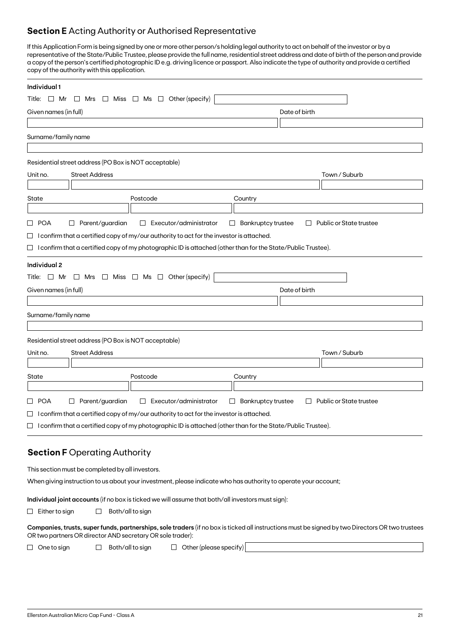# **Section E** Acting Authority or Authorised Representative

If this Application Form is being signed by one or more other person/s holding legal authority to act on behalf of the investor or by a representative of the State/Public Trustee, please provide the full name, residential street address and date of birth of the person and provide a copy of the person's certified photographic ID e.g. driving licence or passport. Also indicate the type of authority and provide a certified copy of the authority with this application.

| Individual 1                                                                                                                                                                                                   |                                                                          |
|----------------------------------------------------------------------------------------------------------------------------------------------------------------------------------------------------------------|--------------------------------------------------------------------------|
| Other (specify)<br>Miss $\Box$ Ms $\Box$<br>Title: $\Box$ Mr<br>$\Box$ Mrs<br>$\Box$                                                                                                                           |                                                                          |
| Given names (in full)                                                                                                                                                                                          | Date of birth                                                            |
|                                                                                                                                                                                                                |                                                                          |
| Surname/family name                                                                                                                                                                                            |                                                                          |
|                                                                                                                                                                                                                |                                                                          |
| Residential street address (PO Box is NOT acceptable)                                                                                                                                                          |                                                                          |
| <b>Street Address</b><br>Unit no.                                                                                                                                                                              | Town / Suburb                                                            |
|                                                                                                                                                                                                                |                                                                          |
| State<br>Postcode                                                                                                                                                                                              | Country                                                                  |
|                                                                                                                                                                                                                |                                                                          |
| Parent/guardian<br>□ POA<br>Executor/administrator<br>$\Box$                                                                                                                                                   | <b>Bankruptcy trustee</b><br>Public or State trustee<br>$\Box$<br>$\Box$ |
| $\Box$ I confirm that a certified copy of my/our authority to act for the investor is attached.                                                                                                                |                                                                          |
| $\Box$ I confirm that a certified copy of my photographic ID is attached (other than for the State/Public Trustee).                                                                                            |                                                                          |
| Individual 2                                                                                                                                                                                                   |                                                                          |
| Title: $\Box$ Mr $\Box$ Mrs $\Box$ Miss $\Box$ Ms $\Box$ Other (specify)                                                                                                                                       |                                                                          |
| Given names (in full)                                                                                                                                                                                          | Date of birth                                                            |
|                                                                                                                                                                                                                |                                                                          |
| Surname/family name                                                                                                                                                                                            |                                                                          |
|                                                                                                                                                                                                                |                                                                          |
| Residential street address (PO Box is NOT acceptable)                                                                                                                                                          |                                                                          |
| <b>Street Address</b><br>Unit no.                                                                                                                                                                              | Town / Suburb                                                            |
| Postcode<br>State                                                                                                                                                                                              | Country                                                                  |
|                                                                                                                                                                                                                |                                                                          |
| □ POA<br>$\Box$ Parent/guardian<br>Executor/administrator<br>$\Box$                                                                                                                                            | <b>Bankruptcy trustee</b><br>Public or State trustee<br>$\Box$<br>$\Box$ |
| $\Box$ I confirm that a certified copy of my/our authority to act for the investor is attached.                                                                                                                |                                                                          |
| $\Box$ I confirm that a certified copy of my photographic ID is attached (other than for the State/Public Trustee).                                                                                            |                                                                          |
|                                                                                                                                                                                                                |                                                                          |
| <b>Section F Operating Authority</b>                                                                                                                                                                           |                                                                          |
|                                                                                                                                                                                                                |                                                                          |
| This section must be completed by all investors.                                                                                                                                                               |                                                                          |
| When giving instruction to us about your investment, please indicate who has authority to operate your account;                                                                                                |                                                                          |
| Individual joint accounts (if no box is ticked we will assume that both/all investors must sign):                                                                                                              |                                                                          |
| Both/all to sign<br>$\Box$ Either to sign<br>ப                                                                                                                                                                 |                                                                          |
| Companies, trusts, super funds, partnerships, sole traders (if no box is ticked all instructions must be signed by two Directors OR two trustees<br>OR two partners OR director AND secretary OR sole trader): |                                                                          |
| $\Box$ Other (please specify)<br>Both/all to sign<br>$\Box$ One to sign<br>$\Box$                                                                                                                              |                                                                          |
|                                                                                                                                                                                                                |                                                                          |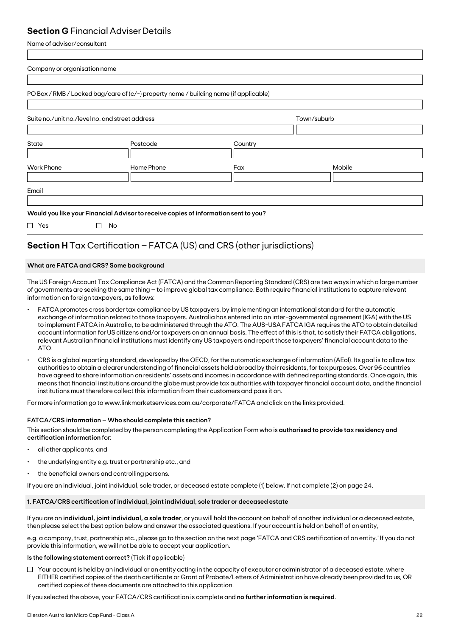# **Section G** Financial Adviser Details

Name of advisor/consultant

| Suite no./unit no./level no. and street address |           | Town/suburb                                                                                                                                                                  |  |
|-------------------------------------------------|-----------|------------------------------------------------------------------------------------------------------------------------------------------------------------------------------|--|
| Postcode                                        | Country   |                                                                                                                                                                              |  |
| Home Phone                                      | Fax       | Mobile                                                                                                                                                                       |  |
|                                                 |           |                                                                                                                                                                              |  |
|                                                 |           |                                                                                                                                                                              |  |
|                                                 | <b>No</b> | PO Box / RMB / Locked bag/care of (c/-) property name / building name (if applicable)<br>Would you like your Financial Advisor to receive copies of information sent to you? |  |

# **Section H** Tax Certification – FATCA (US) and CRS (other jurisdictions)

# **What are FATCA and CRS? Some background**

The US Foreign Account Tax Compliance Act (FATCA) and the Common Reporting Standard (CRS) are two ways in which a large number of governments are seeking the same thing – to improve global tax compliance. Both require financial institutions to capture relevant information on foreign taxpayers, as follows:

- FATCA promotes cross border tax compliance by US taxpayers, by implementing an international standard for the automatic exchange of information related to those taxpayers. Australia has entered into an inter-governmental agreement (IGA) with the US to implement FATCA in Australia, to be administered through the ATO. The AUS-USA FATCA IGA requires the ATO to obtain detailed account information for US citizens and/or taxpayers on an annual basis. The effect of this is that, to satisfy their FATCA obligations, relevant Australian financial institutions must identify any US taxpayers and report those taxpayers' financial account data to the ATO.
- CRS is a global reporting standard, developed by the OECD, for the automatic exchange of information (AEoI). Its goal is to allow tax authorities to obtain a clearer understanding of financial assets held abroad by their residents, for tax purposes. Over 96 countries have agreed to share information on residents' assets and incomes in accordance with defined reporting standards. Once again, this means that financial institutions around the globe must provide tax authorities with taxpayer financial account data, and the financial institutions must therefore collect this information from their customers and pass it on.

For more information go to www.linkmarketservices.com.au/corporate/FATCA and click on the links provided.

# **FATCA/CRS information – Who should complete this section?**

This section should be completed by the person completing the Application Form who is **authorised to provide tax residency and certification information** for:

- all other applicants, and
- the underlying entity e.g. trust or partnership etc., and
- the beneficial owners and controlling persons.

If you are an individual, joint individual, sole trader, or deceased estate complete (1) below. If not complete (2) on page 24.

# **1. FATCA/CRS certification of individual, joint individual, sole trader or deceased estate**

If you are an **individual, joint individual, a sole trader**, or you will hold the account on behalf of another individual or a deceased estate, then please select the best option below and answer the associated questions. If your account is held on behalf of an entity,

e.g. a company, trust, partnership etc., please go to the section on the next page 'FATCA and CRS certification of an entity.' If you do not provide this information, we will not be able to accept your application.

# **Is the following statement correct?** (Tick if applicable)

 $\Box$  Your account is held by an individual or an entity acting in the capacity of executor or administrator of a deceased estate, where EITHER certified copies of the death certificate or Grant of Probate/Letters of Administration have already been provided to us, OR certified copies of these documents are attached to this application.

If you selected the above, your FATCA/CRS certification is complete and **no further information is required**.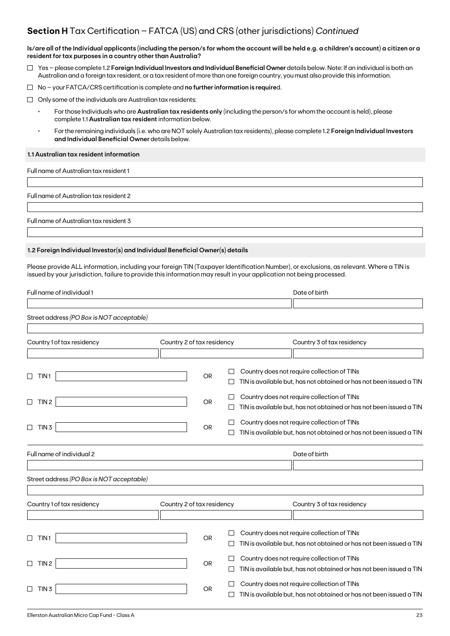# **Section H** Tax Certification – FATCA (US) and CRS (other jurisdictions) *Continued*

**Is/are all of the Individual applicants (including the person/s for whom the account will be held e.g. a children's account) a citizen or a resident for tax purposes in a country other than Australia?**

- Yes please complete 1.2 **Foreign Individual Investors and Individual Beneficial Owner** details below. Note: If an individual is both an Australian and a foreign tax resident, or a tax resident of more than one foreign country, you must also provide this information.
- No your FATCA/CRS certification is complete and **no further information is require**d.
- $\Box$  Only some of the individuals are Australian tax residents:
	- For those Individuals who are **Australian tax residents only** (including the person/s for whom the account is held), please complete 1.1 **Australian tax resident** information below.
	- For the remaining individuals (i.e. who are NOT solely Australian tax residents), please complete 1.2 **Foreign Individual Investors and Individual Beneficial Owner** details below.

### **1.1 Australian tax resident information**

Full name of Australian tax resident 1

Full name of Australian tax resident 2

Full name of Australian tax resident 3

# **1.2 Foreign Individual Investor(s) and Individual Beneficial Owner(s) details**

Please provide ALL information, including your foreign TIN (Taxpayer Identification Number), or exclusions, as relevant. Where a TIN is issued by your jurisdiction, failure to provide this information may result in your application not being processed.

| Full name of individual 1                 |                            |           |   | Date of birth                                                                                                      |
|-------------------------------------------|----------------------------|-----------|---|--------------------------------------------------------------------------------------------------------------------|
|                                           |                            |           |   |                                                                                                                    |
| Street address (PO Box is NOT acceptable) |                            |           |   |                                                                                                                    |
|                                           |                            |           |   |                                                                                                                    |
| Country 1 of tax residency                | Country 2 of tax residency |           |   | Country 3 of tax residency                                                                                         |
|                                           |                            |           |   |                                                                                                                    |
|                                           |                            |           |   | Country does not require collection of TINs                                                                        |
| TIN <sub>1</sub>                          |                            | <b>OR</b> |   | TIN is available but, has not obtained or has not been issued a TIN                                                |
|                                           |                            |           |   |                                                                                                                    |
| TIN <sub>2</sub><br>□                     |                            | OR        |   | Country does not require collection of TINs                                                                        |
|                                           |                            |           |   | TIN is available but, has not obtained or has not been issued a TIN                                                |
|                                           |                            |           |   | Country does not require collection of TINs                                                                        |
| TIN <sub>3</sub><br>$\Box$                |                            | <b>OR</b> |   | TIN is available but, has not obtained or has not been issued a TIN                                                |
| Full name of individual 2                 |                            |           |   | Date of birth                                                                                                      |
|                                           |                            |           |   |                                                                                                                    |
|                                           |                            |           |   |                                                                                                                    |
| Street address (PO Box is NOT acceptable) |                            |           |   |                                                                                                                    |
|                                           |                            |           |   |                                                                                                                    |
| Country 1 of tax residency                | Country 2 of tax residency |           |   | Country 3 of tax residency                                                                                         |
|                                           |                            |           |   |                                                                                                                    |
|                                           |                            |           |   | Country does not require collection of TINs                                                                        |
| TIN <sub>1</sub><br>$\mathsf{L}$          |                            | <b>OR</b> |   | TIN is available but, has not obtained or has not been issued a TIN                                                |
|                                           |                            |           |   |                                                                                                                    |
| TIN <sub>2</sub><br>П                     |                            | <b>OR</b> | ப | Country does not require collection of TINs<br>TIN is available but, has not obtained or has not been issued a TIN |
|                                           |                            |           |   |                                                                                                                    |
| TIN <sub>3</sub>                          |                            | <b>OR</b> |   | Country does not require collection of TINs                                                                        |
|                                           |                            |           |   | TIN is available but, has not obtained or has not been issued a TIN                                                |
|                                           |                            |           |   |                                                                                                                    |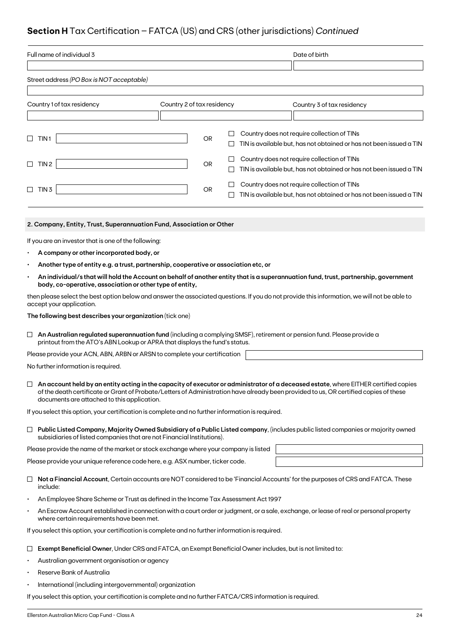# **Section H** Tax Certification – FATCA (US) and CRS (other jurisdictions) *Continued*

| Full name of individual 3                                                                                                                                                                                                                                                     |                                                                                                           |  | Date of birth                                                       |  |  |  |  |  |
|-------------------------------------------------------------------------------------------------------------------------------------------------------------------------------------------------------------------------------------------------------------------------------|-----------------------------------------------------------------------------------------------------------|--|---------------------------------------------------------------------|--|--|--|--|--|
|                                                                                                                                                                                                                                                                               |                                                                                                           |  |                                                                     |  |  |  |  |  |
| Street address (PO Box is NOT acceptable)                                                                                                                                                                                                                                     |                                                                                                           |  |                                                                     |  |  |  |  |  |
|                                                                                                                                                                                                                                                                               |                                                                                                           |  |                                                                     |  |  |  |  |  |
| Country 1 of tax residency                                                                                                                                                                                                                                                    | Country 2 of tax residency                                                                                |  | Country 3 of tax residency                                          |  |  |  |  |  |
|                                                                                                                                                                                                                                                                               |                                                                                                           |  |                                                                     |  |  |  |  |  |
| TIN <sub>1</sub>                                                                                                                                                                                                                                                              | OR                                                                                                        |  | Country does not require collection of TINs                         |  |  |  |  |  |
|                                                                                                                                                                                                                                                                               | $\Box$                                                                                                    |  | TIN is available but, has not obtained or has not been issued a TIN |  |  |  |  |  |
| TIN 2<br>$\Box$                                                                                                                                                                                                                                                               | $\Box$<br>OR                                                                                              |  | Country does not require collection of TINs                         |  |  |  |  |  |
|                                                                                                                                                                                                                                                                               | $\Box$                                                                                                    |  | TIN is available but, has not obtained or has not been issued a TIN |  |  |  |  |  |
| TIN <sub>3</sub>                                                                                                                                                                                                                                                              | ⊔<br><b>OR</b>                                                                                            |  | Country does not require collection of TINs                         |  |  |  |  |  |
|                                                                                                                                                                                                                                                                               |                                                                                                           |  | TIN is available but, has not obtained or has not been issued a TIN |  |  |  |  |  |
|                                                                                                                                                                                                                                                                               |                                                                                                           |  |                                                                     |  |  |  |  |  |
| 2. Company, Entity, Trust, Superannuation Fund, Association or Other                                                                                                                                                                                                          |                                                                                                           |  |                                                                     |  |  |  |  |  |
| If you are an investor that is one of the following:                                                                                                                                                                                                                          |                                                                                                           |  |                                                                     |  |  |  |  |  |
| A company or other incorporated body, or                                                                                                                                                                                                                                      |                                                                                                           |  |                                                                     |  |  |  |  |  |
| Another type of entity e.g. a trust, partnership, cooperative or association etc, or                                                                                                                                                                                          |                                                                                                           |  |                                                                     |  |  |  |  |  |
| An individual/s that will hold the Account on behalf of another entity that is a superannuation fund, trust, partnership, government                                                                                                                                          |                                                                                                           |  |                                                                     |  |  |  |  |  |
| body, co-operative, association or other type of entity,                                                                                                                                                                                                                      |                                                                                                           |  |                                                                     |  |  |  |  |  |
| then please select the best option below and answer the associated questions. If you do not provide this information, we will not be able to<br>accept your application.                                                                                                      |                                                                                                           |  |                                                                     |  |  |  |  |  |
| The following best describes your organization (tick one)                                                                                                                                                                                                                     |                                                                                                           |  |                                                                     |  |  |  |  |  |
| An Australian regulated superannuation fund (including a complying SMSF), retirement or pension fund. Please provide a<br>$\Box$                                                                                                                                              |                                                                                                           |  |                                                                     |  |  |  |  |  |
| printout from the ATO's ABN Lookup or APRA that displays the fund's status.                                                                                                                                                                                                   |                                                                                                           |  |                                                                     |  |  |  |  |  |
| Please provide your ACN, ABN, ARBN or ARSN to complete your certification                                                                                                                                                                                                     |                                                                                                           |  |                                                                     |  |  |  |  |  |
| No further information is required.                                                                                                                                                                                                                                           |                                                                                                           |  |                                                                     |  |  |  |  |  |
| An account held by an entity acting in the capacity of executor or administrator of a deceased estate, where EITHER certified copies<br>of the death certificate or Grant of Probate/Letters of Administration have already been provided to us, OR certified copies of these |                                                                                                           |  |                                                                     |  |  |  |  |  |
| documents are attached to this application.<br>If you select this option, your certification is complete and no further information is required.                                                                                                                              |                                                                                                           |  |                                                                     |  |  |  |  |  |
|                                                                                                                                                                                                                                                                               |                                                                                                           |  |                                                                     |  |  |  |  |  |
| $\Box$ Public Listed Company, Majority Owned Subsidiary of a Public Listed company, (includes public listed companies or majority owned<br>subsidiaries of listed companies that are not Financial Institutions).                                                             |                                                                                                           |  |                                                                     |  |  |  |  |  |
| Please provide the name of the market or stock exchange where your company is listed                                                                                                                                                                                          |                                                                                                           |  |                                                                     |  |  |  |  |  |
| Please provide your unique reference code here, e.g. ASX number, ticker code.                                                                                                                                                                                                 |                                                                                                           |  |                                                                     |  |  |  |  |  |
| Not a Financial Account, Certain accounts are NOT considered to be 'Financial Accounts' for the purposes of CRS and FATCA. These<br>$\Box$<br>include:                                                                                                                        |                                                                                                           |  |                                                                     |  |  |  |  |  |
| An Employee Share Scheme or Trust as defined in the Income Tax Assessment Act 1997                                                                                                                                                                                            |                                                                                                           |  |                                                                     |  |  |  |  |  |
| An Escrow Account established in connection with a court order or judgment, or a sale, exchange, or lease of real or personal property<br>$\bullet$<br>where certain requirements have been met.                                                                              |                                                                                                           |  |                                                                     |  |  |  |  |  |
| If you select this option, your certification is complete and no further information is required.                                                                                                                                                                             |                                                                                                           |  |                                                                     |  |  |  |  |  |
|                                                                                                                                                                                                                                                                               | Exempt Beneficial Owner, Under CRS and FATCA, an Exempt Beneficial Owner includes, but is not limited to: |  |                                                                     |  |  |  |  |  |

- Australian government organisation or agency
- Reserve Bank of Australia
- International (including intergovernmental) organization

If you select this option, your certification is complete and no further FATCA/CRS information is required.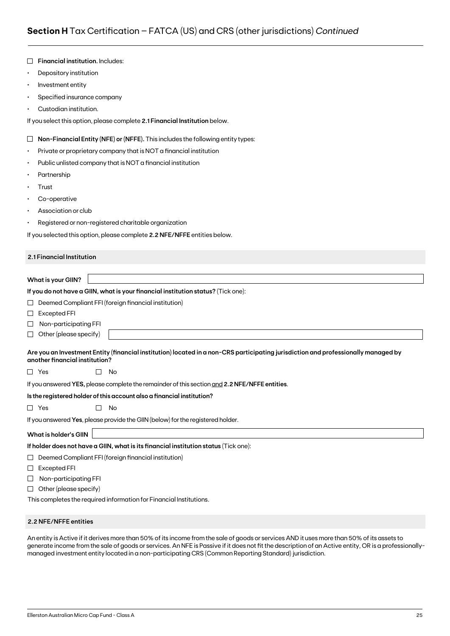|           | Financial institution. Includes:                                                                                                                                     |  |  |  |  |  |  |  |  |
|-----------|----------------------------------------------------------------------------------------------------------------------------------------------------------------------|--|--|--|--|--|--|--|--|
| $\bullet$ | Depository institution                                                                                                                                               |  |  |  |  |  |  |  |  |
| $\bullet$ | Investment entity                                                                                                                                                    |  |  |  |  |  |  |  |  |
| ٠         | Specified insurance company                                                                                                                                          |  |  |  |  |  |  |  |  |
|           | Custodian institution.                                                                                                                                               |  |  |  |  |  |  |  |  |
|           | If you select this option, please complete 2.1 Financial Institution below.                                                                                          |  |  |  |  |  |  |  |  |
| $\Box$    | Non-Financial Entity (NFE) or (NFFE). This includes the following entity types:                                                                                      |  |  |  |  |  |  |  |  |
| ٠         | Private or proprietary company that is NOT a financial institution                                                                                                   |  |  |  |  |  |  |  |  |
| ٠         | Public unlisted company that is NOT a financial institution                                                                                                          |  |  |  |  |  |  |  |  |
|           | Partnership                                                                                                                                                          |  |  |  |  |  |  |  |  |
| ٠         | Trust                                                                                                                                                                |  |  |  |  |  |  |  |  |
| ٠         | Co-operative                                                                                                                                                         |  |  |  |  |  |  |  |  |
|           | Association or club                                                                                                                                                  |  |  |  |  |  |  |  |  |
| ٠         | Registered or non-registered charitable organization                                                                                                                 |  |  |  |  |  |  |  |  |
|           | If you selected this option, please complete 2.2 NFE/NFFE entities below.                                                                                            |  |  |  |  |  |  |  |  |
|           | 2.1 Financial Institution                                                                                                                                            |  |  |  |  |  |  |  |  |
|           |                                                                                                                                                                      |  |  |  |  |  |  |  |  |
|           | <b>What is your GIIN?</b>                                                                                                                                            |  |  |  |  |  |  |  |  |
|           | If you do not have a GIIN, what is your financial institution status? (Tick one):                                                                                    |  |  |  |  |  |  |  |  |
| ப         | Deemed Compliant FFI (foreign financial institution)                                                                                                                 |  |  |  |  |  |  |  |  |
| $\sqcup$  | <b>Excepted FFI</b>                                                                                                                                                  |  |  |  |  |  |  |  |  |
| ⊔         | Non-participating FFI                                                                                                                                                |  |  |  |  |  |  |  |  |
| ⊔         | Other (please specify)                                                                                                                                               |  |  |  |  |  |  |  |  |
|           | Are you an Investment Entity (financial institution) located in a non-CRS participating jurisdiction and professionally managed by<br>another financial institution? |  |  |  |  |  |  |  |  |
|           | $\Box$ Yes<br>No                                                                                                                                                     |  |  |  |  |  |  |  |  |
|           | If you answered YES, please complete the remainder of this section and 2.2 NFE/NFFE entities.                                                                        |  |  |  |  |  |  |  |  |
|           | Is the registered holder of this account also a financial institution?                                                                                               |  |  |  |  |  |  |  |  |
|           | $\Box$ Yes<br>П<br>No                                                                                                                                                |  |  |  |  |  |  |  |  |
|           | If you answered Yes, please provide the GIIN (below) for the registered holder.                                                                                      |  |  |  |  |  |  |  |  |
|           | <b>What is holder's GIIN</b>                                                                                                                                         |  |  |  |  |  |  |  |  |
|           | If holder does not have a GIIN, what is its financial institution status (Tick one):                                                                                 |  |  |  |  |  |  |  |  |
| ⊔         | Deemed Compliant FFI (foreign financial institution)                                                                                                                 |  |  |  |  |  |  |  |  |
| ⊔         | Excepted FFI                                                                                                                                                         |  |  |  |  |  |  |  |  |
| ⊔         | Non-participating FFI                                                                                                                                                |  |  |  |  |  |  |  |  |
| ⊔         | Other (please specify)                                                                                                                                               |  |  |  |  |  |  |  |  |
|           | This completes the required information for Financial Institutions.                                                                                                  |  |  |  |  |  |  |  |  |

### **2.2 NFE/NFFE entities**

An entity is Active if it derives more than 50% of its income from the sale of goods or services AND it uses more than 50% of its assets to generate income from the sale of goods or services. An NFE is Passive if it does not fit the description of an Active entity, OR is a professionallymanaged investment entity located in a non-participating CRS (Common Reporting Standard) jurisdiction.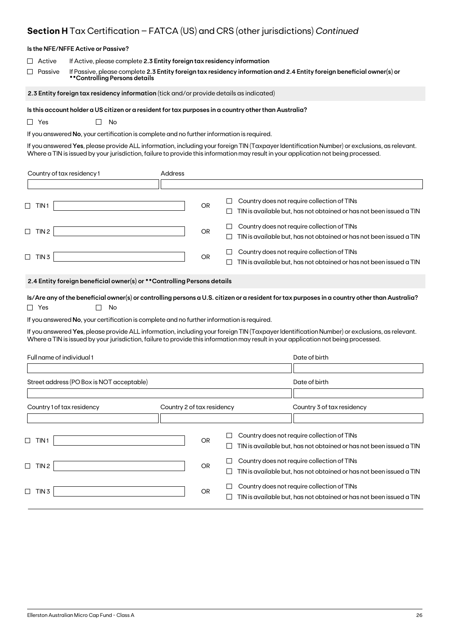# **Section H** Tax Certification – FATCA (US) and CRS (other jurisdictions) *Continued*

|                              | Is the NFE/NFFE Active or Passive?                                                                                                                                                                                                 |                            |           |             |                                                                                                                                                                                                                                                                                     |  |  |  |  |
|------------------------------|------------------------------------------------------------------------------------------------------------------------------------------------------------------------------------------------------------------------------------|----------------------------|-----------|-------------|-------------------------------------------------------------------------------------------------------------------------------------------------------------------------------------------------------------------------------------------------------------------------------------|--|--|--|--|
| Active<br>Passive            | If Active, please complete 2.3 Entity foreign tax residency information<br>If Passive, please complete 2.3 Entity foreign tax residency information and 2.4 Entity foreign beneficial owner(s) or<br>**Controlling Persons details |                            |           |             |                                                                                                                                                                                                                                                                                     |  |  |  |  |
|                              | 2.3 Entity foreign tax residency information (tick and/or provide details as indicated)                                                                                                                                            |                            |           |             |                                                                                                                                                                                                                                                                                     |  |  |  |  |
| $\Box$ Yes                   | Is this account holder a US citizen or a resident for tax purposes in a country other than Australia?<br>No<br>$\mathbf{L}$<br>If you answered No, your certification is complete and no further information is required.          |                            |           |             | If you answered Yes, please provide ALL information, including your foreign TIN (Taxpayer Identification Number) or exclusions, as relevant.<br>Where a TIN is issued by your jurisdiction, failure to provide this information may result in your application not being processed. |  |  |  |  |
| Country of tax residency 1   |                                                                                                                                                                                                                                    | Address                    |           |             |                                                                                                                                                                                                                                                                                     |  |  |  |  |
|                              |                                                                                                                                                                                                                                    |                            |           |             |                                                                                                                                                                                                                                                                                     |  |  |  |  |
| $\Box$ TIN1                  |                                                                                                                                                                                                                                    |                            | <b>OR</b> | $\Box$<br>⊔ | Country does not require collection of TINs<br>TIN is available but, has not obtained or has not been issued a TIN                                                                                                                                                                  |  |  |  |  |
| $\Box$ TIN 2                 |                                                                                                                                                                                                                                    |                            | OR        | ப<br>⊔      | Country does not require collection of TINs<br>TIN is available but, has not obtained or has not been issued a TIN                                                                                                                                                                  |  |  |  |  |
| $\Box$ TIN 3                 |                                                                                                                                                                                                                                    |                            | OR        |             | Country does not require collection of TINs<br>TIN is available but, has not obtained or has not been issued a TIN                                                                                                                                                                  |  |  |  |  |
|                              | 2.4 Entity foreign beneficial owner(s) or ** Controlling Persons details                                                                                                                                                           |                            |           |             |                                                                                                                                                                                                                                                                                     |  |  |  |  |
| $\Box$ Yes                   | No                                                                                                                                                                                                                                 |                            |           |             | Is/Are any of the beneficial owner(s) or controlling persons a U.S. citizen or a resident for tax purposes in a country other than Australia?                                                                                                                                       |  |  |  |  |
|                              | If you answered No, your certification is complete and no further information is required.                                                                                                                                         |                            |           |             |                                                                                                                                                                                                                                                                                     |  |  |  |  |
|                              |                                                                                                                                                                                                                                    |                            |           |             | If you answered Yes, please provide ALL information, including your foreign TIN (Taxpayer Identification Number) or exclusions, as relevant.<br>Where a TIN is issued by your jurisdiction, failure to provide this information may result in your application not being processed. |  |  |  |  |
| Full name of individual 1    |                                                                                                                                                                                                                                    |                            |           |             | Date of birth                                                                                                                                                                                                                                                                       |  |  |  |  |
|                              | Street address (PO Box is NOT acceptable)                                                                                                                                                                                          |                            |           |             | Date of birth                                                                                                                                                                                                                                                                       |  |  |  |  |
|                              |                                                                                                                                                                                                                                    |                            |           |             |                                                                                                                                                                                                                                                                                     |  |  |  |  |
| Country 1 of tax residency   |                                                                                                                                                                                                                                    | Country 2 of tax residency |           |             | Country 3 of tax residency                                                                                                                                                                                                                                                          |  |  |  |  |
| $\sqcup$<br>TIN <sub>1</sub> |                                                                                                                                                                                                                                    |                            | <b>OR</b> | ப           | Country does not require collection of TINs<br>TIN is available but, has not obtained or has not been issued a TIN                                                                                                                                                                  |  |  |  |  |
| $\Box$ TIN 2                 |                                                                                                                                                                                                                                    |                            | <b>OR</b> | $\Box$<br>ப | Country does not require collection of TINs<br>TIN is available but, has not obtained or has not been issued a TIN                                                                                                                                                                  |  |  |  |  |
| $\Box$ TIN 3                 |                                                                                                                                                                                                                                    |                            | OR        | ப<br>$\Box$ | Country does not require collection of TINs<br>TIN is available but, has not obtained or has not been issued a TIN                                                                                                                                                                  |  |  |  |  |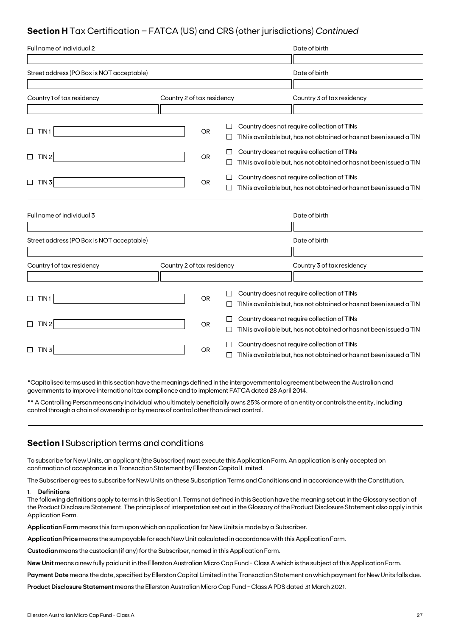# **Section H** Tax Certification – FATCA (US) and CRS (other jurisdictions) *Continued*

| Full name of individual 2                 |                            |           |              | Date of birth                                                       |
|-------------------------------------------|----------------------------|-----------|--------------|---------------------------------------------------------------------|
|                                           |                            |           |              |                                                                     |
| Street address (PO Box is NOT acceptable) |                            |           |              | Date of birth                                                       |
|                                           |                            |           |              |                                                                     |
| Country 1 of tax residency                | Country 2 of tax residency |           |              | Country 3 of tax residency                                          |
|                                           |                            |           |              |                                                                     |
| TIN <sub>1</sub>                          |                            | <b>OR</b> |              | Country does not require collection of TINs                         |
| ⊔                                         |                            |           |              | TIN is available but, has not obtained or has not been issued a TIN |
| TIN <sub>2</sub><br>$\Box$                |                            | <b>OR</b> |              | Country does not require collection of TINs                         |
|                                           |                            |           | $\mathsf{L}$ | TIN is available but, has not obtained or has not been issued a TIN |
| $\Box$<br>TIN <sub>3</sub>                |                            | <b>OR</b> |              | Country does not require collection of TINs                         |
|                                           |                            |           |              | TIN is available but, has not obtained or has not been issued a TIN |
|                                           |                            |           |              |                                                                     |
| Full name of individual 3                 |                            |           |              | Date of birth                                                       |
|                                           |                            |           |              |                                                                     |
| Street address (PO Box is NOT acceptable) |                            |           |              | Date of birth                                                       |
|                                           |                            |           |              |                                                                     |
| Country 1 of tax residency                | Country 2 of tax residency |           |              | Country 3 of tax residency                                          |
|                                           |                            |           |              |                                                                     |
| TIN1<br>$\Box$                            |                            | <b>OR</b> |              | Country does not require collection of TINs                         |
|                                           |                            |           | $\mathbf{L}$ | TIN is available but, has not obtained or has not been issued a TIN |
| TIN <sub>2</sub><br>$\Box$                |                            | <b>OR</b> |              | Country does not require collection of TINs                         |
|                                           |                            |           | $\perp$      | TIN is available but, has not obtained or has not been issued a TIN |
| TIN <sub>3</sub><br>$\Box$                |                            | OR.       |              | Country does not require collection of TINs                         |
|                                           |                            |           |              | TIN is available but, has not obtained or has not been issued a TIN |

\*Capitalised terms used in this section have the meanings defined in the intergovernmental agreement between the Australian and governments to improve international tax compliance and to implement FATCA dated 28 April 2014.

\*\* A Controlling Person means any individual who ultimately beneficially owns 25% or more of an entity or controls the entity, including control through a chain of ownership or by means of control other than direct control.

# **Section I** Subscription terms and conditions

To subscribe for New Units, an applicant (the Subscriber) must execute this Application Form. An application is only accepted on confirmation of acceptance in a Transaction Statement by Ellerston Capital Limited.

The Subscriber agrees to subscribe for New Units on these Subscription Terms and Conditions and in accordance with the Constitution.

## 1. **Definitions**

The following definitions apply to terms in this Section I. Terms not defined in this Section have the meaning set out in the Glossary section of the Product Disclosure Statement. The principles of interpretation set out in the Glossary of the Product Disclosure Statement also apply in this Application Form.

**Application Form** means this form upon which an application for New Units is made by a Subscriber.

**Application Price** means the sum payable for each New Unit calculated in accordance with this Application Form.

**Custodian** means the custodian (if any) for the Subscriber, named in this Application Form.

**New Unit** means a new fully paid unit in the Ellerston Australian Micro Cap Fund - Class A which is the subject of this Application Form.

**Payment Date** means the date, specified by Ellerston Capital Limited in the Transaction Statement on which payment for New Units falls due.

**Product Disclosure Statement** means the Ellerston Australian Micro Cap Fund - Class A PDS dated 31 March 2021.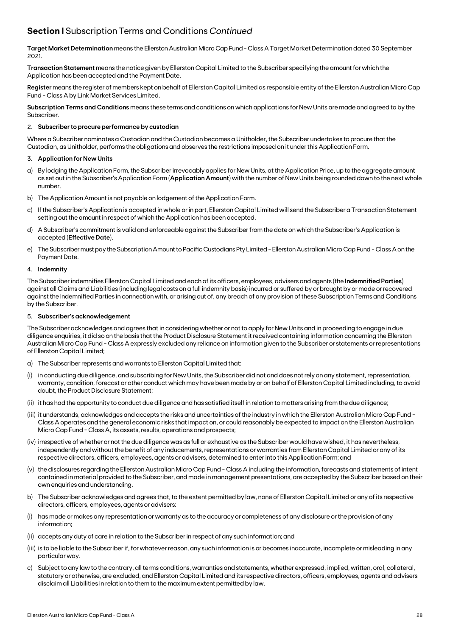# **Section I** Subscription Terms and Conditions *Continued*

**Target Market Determination** means the Ellerston Australian Micro Cap Fund - Class A Target Market Determination dated 30 September 2021.

**Transaction Statement** means the notice given by Ellerston Capital Limited to the Subscriber specifying the amount for which the Application has been accepted and the Payment Date.

**Register** means the register of members kept on behalf of Ellerston Capital Limited as responsible entity of the Ellerston Australian Micro Cap Fund - Class A by Link Market Services Limited.

**Subscription Terms and Conditions** means these terms and conditions on which applications for New Units are made and agreed to by the Subscriber.

## 2. **Subscriber to procure performance by custodian**

Where a Subscriber nominates a Custodian and the Custodian becomes a Unitholder, the Subscriber undertakes to procure that the Custodian, as Unitholder, performs the obligations and observes the restrictions imposed on it under this Application Form.

### 3. **Application for New Units**

- a) By lodging the Application Form, the Subscriber irrevocably applies for New Units, at the Application Price, up to the aggregate amount as set out in the Subscriber's Application Form (**Application Amount**) with the number of New Units being rounded down to the next whole number.
- b) The Application Amount is not payable on lodgement of the Application Form.
- c) If the Subscriber's Application is accepted in whole or in part, Ellerston Capital Limited will send the Subscriber a Transaction Statement setting out the amount in respect of which the Application has been accepted.
- d) A Subscriber's commitment is valid and enforceable against the Subscriber from the date on which the Subscriber's Application is accepted (**Effective Date**).
- e) The Subscriber must pay the Subscription Amount to Pacific Custodians Pty Limited Ellerston Australian Micro Cap Fund Class A on the Payment Date.

### 4. **Indemnity**

The Subscriber indemnifies Ellerston Capital Limited and each of its officers, employees, advisers and agents (the **Indemnified Parties**) against all Claims and Liabilities (including legal costs on a full indemnity basis) incurred or suffered by or brought by or made or recovered against the Indemnified Parties in connection with, or arising out of, any breach of any provision of these Subscription Terms and Conditions by the Subscriber.

### 5. **Subscriber's acknowledgement**

The Subscriber acknowledges and agrees that in considering whether or not to apply for New Units and in proceeding to engage in due diligence enquiries, it did so on the basis that the Product Disclosure Statement it received containing information concerning the Ellerston Australian Micro Cap Fund - Class A expressly excluded any reliance on information given to the Subscriber or statements or representations of Ellerston Capital Limited;

- a) The Subscriber represents and warrants to Ellerston Capital Limited that:
- (i) in conducting due diligence, and subscribing for New Units, the Subscriber did not and does not rely on any statement, representation, warranty, condition, forecast or other conduct which may have been made by or on behalf of Ellerston Capital Limited including, to avoid doubt, the Product Disclosure Statement;
- (ii) it has had the opportunity to conduct due diligence and has satisfied itself in relation to matters arising from the due diligence;
- (iii) it understands, acknowledges and accepts the risks and uncertainties of the industry in which the Ellerston Australian Micro Cap Fund Class A operates and the general economic risks that impact on, or could reasonably be expected to impact on the Ellerston Australian Micro Cap Fund - Class A, its assets, results, operations and prospects;
- (iv) irrespective of whether or not the due diligence was as full or exhaustive as the Subscriber would have wished, it has nevertheless, independently and without the benefit of any inducements, representations or warranties from Ellerston Capital Limited or any of its respective directors, officers, employees, agents or advisers, determined to enter into this Application Form; and
- (v) the disclosures regarding the Ellerston Australian Micro Cap Fund Class A including the information, forecasts and statements of intent contained in material provided to the Subscriber, and made in management presentations, are accepted by the Subscriber based on their own enquiries and understanding.
- b) The Subscriber acknowledges and agrees that, to the extent permitted by law, none of Ellerston Capital Limited or any of its respective directors, officers, employees, agents or advisers:
- has made or makes any representation or warranty as to the accuracy or completeness of any disclosure or the provision of any information;
- (ii) accepts any duty of care in relation to the Subscriber in respect of any such information; and
- (iii) is to be liable to the Subscriber if, for whatever reason, any such information is or becomes inaccurate, incomplete or misleading in any particular way.
- c) Subject to any law to the contrary, all terms conditions, warranties and statements, whether expressed, implied, written, oral, collateral, statutory or otherwise, are excluded, and Ellerston Capital Limited and its respective directors, officers, employees, agents and advisers disclaim all Liabilities in relation to them to the maximum extent permitted by law.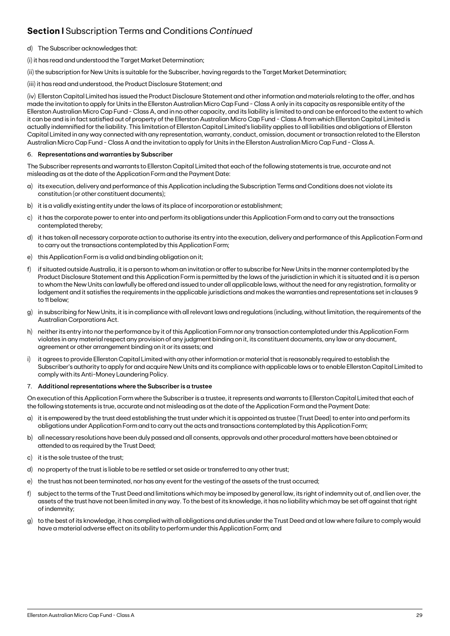# **Section I** Subscription Terms and Conditions *Continued*

- d) The Subscriber acknowledges that:
- (i) it has read and understood the Target Market Determination;

(ii) the subscription for New Units is suitable for the Subscriber, having regards to the Target Market Determination;

(iii) it has read and understood, the Product Disclosure Statement; and

(iv) Ellerston Capital Limited has issued the Product Disclosure Statement and other information and materials relating to the offer, and has made the invitation to apply for Units in the Ellerston Australian Micro Cap Fund - Class A only in its capacity as responsible entity of the Ellerston Australian Micro Cap Fund - Class A, and in no other capacity, and its liability is limited to and can be enforced to the extent to which it can be and is in fact satisfied out of property of the Ellerston Australian Micro Cap Fund - Class A from which Ellerston Capital Limited is actually indemnified for the liability. This limitation of Ellerston Capital Limited's liability applies to all liabilities and obligations of Ellerston Capital Limited in any way connected with any representation, warranty, conduct, omission, document or transaction related to the Ellerston Australian Micro Cap Fund - Class A and the invitation to apply for Units in the Ellerston Australian Micro Cap Fund - Class A.

## 6. **Representations and warranties by Subscriber**

The Subscriber represents and warrants to Ellerston Capital Limited that each of the following statements is true, accurate and not misleading as at the date of the Application Form and the Payment Date:

- a) its execution, delivery and performance of this Application including the Subscription Terms and Conditions does not violate its constitution (or other constituent documents);
- b) it is a validly existing entity under the laws of its place of incorporation or establishment;
- c) it has the corporate power to enter into and perform its obligations under this Application Form and to carry out the transactions contemplated thereby;
- d) it has taken all necessary corporate action to authorise its entry into the execution, delivery and performance of this Application Form and to carry out the transactions contemplated by this Application Form;
- e) this Application Form is a valid and binding obligation on it;
- f) if situated outside Australia, it is a person to whom an invitation or offer to subscribe for New Units in the manner contemplated by the Product Disclosure Statement and this Application Form is permitted by the laws of the jurisdiction in which it is situated and it is a person to whom the New Units can lawfully be offered and issued to under all applicable laws, without the need for any registration, formality or lodgement and it satisfies the requirements in the applicable jurisdictions and makes the warranties and representations set in clauses 9 to 11 below;
- g) in subscribing for New Units, it is in compliance with all relevant laws and regulations (including, without limitation, the requirements of the Australian Corporations Act.
- h) neither its entry into nor the performance by it of this Application Form nor any transaction contemplated under this Application Form violates in any material respect any provision of any judgment binding on it, its constituent documents, any law or any document, agreement or other arrangement binding on it or its assets; and
- i) it agrees to provide Ellerston Capital Limited with any other information or material that is reasonably required to establish the Subscriber's authority to apply for and acquire New Units and its compliance with applicable laws or to enable Ellerston Capital Limited to comply with its Anti-Money Laundering Policy.

## 7. **Additional representations where the Subscriber is a trustee**

On execution of this Application Form where the Subscriber is a trustee, it represents and warrants to Ellerston Capital Limited that each of the following statements is true, accurate and not misleading as at the date of the Application Form and the Payment Date:

- a) it is empowered by the trust deed establishing the trust under which it is appointed as trustee (Trust Deed) to enter into and perform its obligations under Application Form and to carry out the acts and transactions contemplated by this Application Form;
- b) all necessary resolutions have been duly passed and all consents, approvals and other procedural matters have been obtained or attended to as required by the Trust Deed;
- c) it is the sole trustee of the trust;
- d) no property of the trust is liable to be re settled or set aside or transferred to any other trust;
- e) the trust has not been terminated, nor has any event for the vesting of the assets of the trust occurred;
- f) subject to the terms of the Trust Deed and limitations which may be imposed by general law, its right of indemnity out of, and lien over, the assets of the trust have not been limited in any way. To the best of its knowledge, it has no liability which may be set off against that right of indemnity;
- g) to the best of its knowledge, it has complied with all obligations and duties under the Trust Deed and at law where failure to comply would have a material adverse effect on its ability to perform under this Application Form; and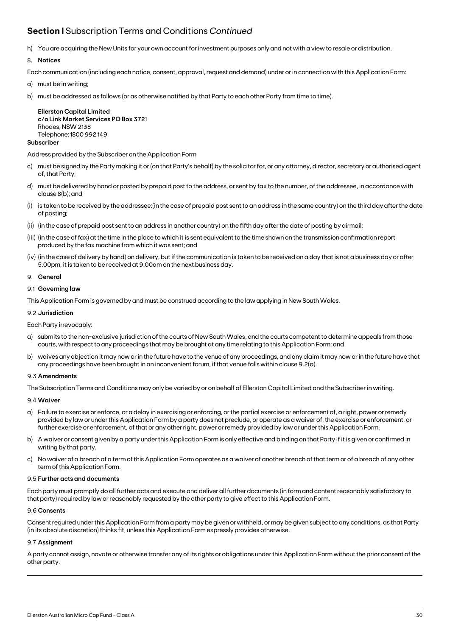# **Section I** Subscription Terms and Conditions *Continued*

h) You are acquiring the New Units for your own account for investment purposes only and not with a view to resale or distribution.

# 8. **Notices**

Each communication (including each notice, consent, approval, request and demand) under or in connection with this Application Form:

- a) must be in writing;
- b) must be addressed as follows (or as otherwise notified by that Party to each other Party from time to time).

**Ellerston Capital Limited c/o Link Market Services PO Box 372**1 Rhodes, NSW 2138 Telephone: 1800 992 149

## **Subscriber**

Address provided by the Subscriber on the Application Form

- c) must be signed by the Party making it or (on that Party's behalf) by the solicitor for, or any attorney, director, secretary or authorised agent of, that Party;
- d) must be delivered by hand or posted by prepaid post to the address, or sent by fax to the number, of the addressee, in accordance with clause 8(b); and
- (i) is taken to be received by the addressee:(in the case of prepaid post sent to an address in the same country) on the third day after the date of posting;
- (ii) (in the case of prepaid post sent to an address in another country) on the fifth day after the date of posting by airmail;
- (iii) (in the case of fax) at the time in the place to which it is sent equivalent to the time shown on the transmission confirmation report produced by the fax machine from which it was sent; and
- (iv) (in the case of delivery by hand) on delivery, but if the communication is taken to be received on a day that is not a business day or after 5.00pm, it is taken to be received at 9.00am on the next business day.

### 9. **General**

### 9.1 **Governing law**

This Application Form is governed by and must be construed according to the law applying in New South Wales.

### 9.2 **Jurisdiction**

## Each Party irrevocably:

- a) submits to the non-exclusive jurisdiction of the courts of New South Wales, and the courts competent to determine appeals from those courts, with respect to any proceedings that may be brought at any time relating to this Application Form; and
- b) waives any objection it may now or in the future have to the venue of any proceedings, and any claim it may now or in the future have that any proceedings have been brought in an inconvenient forum, if that venue falls within clause 9.2(a).

## 9.3 **Amendments**

The Subscription Terms and Conditions may only be varied by or on behalf of Ellerston Capital Limited and the Subscriber in writing.

## 9.4 **Waiver**

- a) Failure to exercise or enforce, or a delay in exercising or enforcing, or the partial exercise or enforcement of, a right, power or remedy provided by law or under this Application Form by a party does not preclude, or operate as a waiver of, the exercise or enforcement, or further exercise or enforcement, of that or any other right, power or remedy provided by law or under this Application Form.
- b) A waiver or consent given by a party under this Application Form is only effective and binding on that Party if it is given or confirmed in writing by that party.
- c) No waiver of a breach of a term of this Application Form operates as a waiver of another breach of that term or of a breach of any other term of this Application Form.

### 9.5 **Further acts and documents**

Each party must promptly do all further acts and execute and deliver all further documents (in form and content reasonably satisfactory to that party) required by law or reasonably requested by the other party to give effect to this Application Form.

### 9.6 **Consents**

Consent required under this Application Form from a party may be given or withheld, or may be given subject to any conditions, as that Party (in its absolute discretion) thinks fit, unless this Application Form expressly provides otherwise.

## 9.7 **Assignment**

A party cannot assign, novate or otherwise transfer any of its rights or obligations under this Application Form without the prior consent of the other party.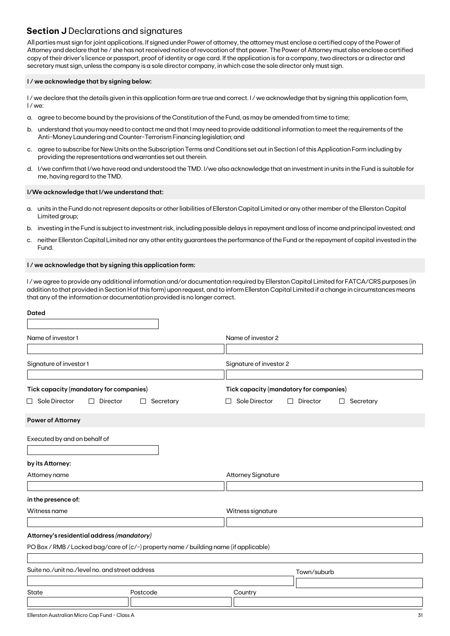# **Section J** Declarations and signatures

All parties must sign for joint applications. If signed under Power of attorney, the attorney must enclose a certified copy of the Power of Attorney and declare that he / she has not received notice of revocation of that power. The Power of Attorney must also enclose a certified copy of their driver's licence or passport, proof of identity or age card. If the application is for a company, two directors or a director and secretary must sign, unless the company is a sole director company, in which case the sole director only must sign.

## **I / we acknowledge that by signing below:**

I/we declare that the details given in this application form are true and correct. I/we acknowledge that by signing this application form, I / we:

- a. agree to become bound by the provisions of the Constitution of the Fund, as may be amended from time to time;
- b. understand that you may need to contact me and that I may need to provide additional information to meet the requirements of the Anti-Money Laundering and Counter-Terrorism Financing legislation; and
- c. agree to subscribe for New Units on the Subscription Terms and Conditions set out in Section I of this Application Form including by providing the representations and warranties set out therein.
- d. I/we confirm that I/we have read and understood the TMD. I/we also acknowledge that an investment in units in the Fund is suitable for me, having regard to the TMD.

### **I/We acknowledge that I/we understand that:**

- a. units in the Fund do not represent deposits or other liabilities of Ellerston Capital Limited or any other member of the Ellerston Capital Limited group;
- b. investing in the Fund is subject to investment risk, including possible delays in repayment and loss of income and principal invested; and
- c. neither Ellerston Capital Limited nor any other entity guarantees the performance of the Fund or the repayment of capital invested in the Fund.

### **I / we acknowledge that by signing this application form:**

I / we agree to provide any additional information and/or documentation required by Ellerston Capital Limited for FATCA/CRS purposes (in addition to that provided in Section H of this form) upon request, and to inform Ellerston Capital Limited if a change in circumstances means that any of the information or documentation provided is no longer correct.

| <b>Dated</b>                                                                          |                |                                         |                                            |  |  |
|---------------------------------------------------------------------------------------|----------------|-----------------------------------------|--------------------------------------------|--|--|
| Name of investor 1                                                                    |                | Name of investor 2                      |                                            |  |  |
|                                                                                       |                |                                         |                                            |  |  |
| Signature of investor 1                                                               |                | Signature of investor 2                 |                                            |  |  |
| Tick capacity (mandatory for companies)                                               |                | Tick capacity (mandatory for companies) |                                            |  |  |
| $\Box$ Sole Director<br>Director<br>$\Box$                                            | Secretary<br>⊔ | Sole Director                           | Director<br>Secretary<br>П<br>$\mathsf{L}$ |  |  |
| Power of Attorney                                                                     |                |                                         |                                            |  |  |
| Executed by and on behalf of                                                          |                |                                         |                                            |  |  |
| by its Attorney:                                                                      |                |                                         |                                            |  |  |
| Attorney name                                                                         |                | <b>Attorney Signature</b>               |                                            |  |  |
| in the presence of:                                                                   |                |                                         |                                            |  |  |
| Witness name                                                                          |                | Witness signature                       |                                            |  |  |
| Attorney's residential address (mandatory)                                            |                |                                         |                                            |  |  |
| PO Box / RMB / Locked bag/care of (c/-) property name / building name (if applicable) |                |                                         |                                            |  |  |
| Suite no./unit no./level no. and street address                                       |                |                                         | Town/suburb                                |  |  |
| State                                                                                 | Postcode       | Country                                 |                                            |  |  |
|                                                                                       |                |                                         |                                            |  |  |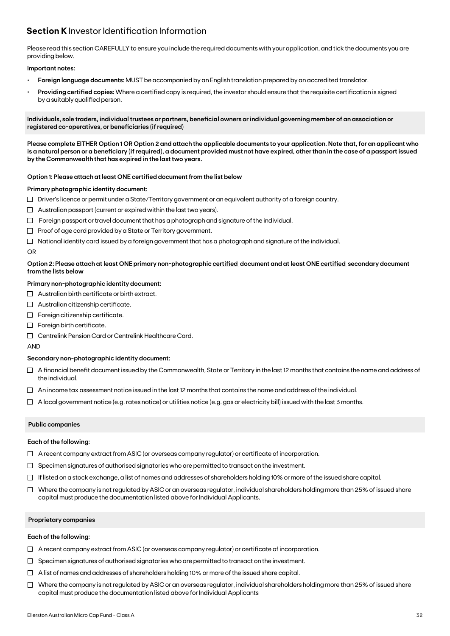# **Section K** Investor Identification Information

Please read this section CAREFULLY to ensure you include the required documents with your application, and tick the documents you are providing below.

## **Important notes:**

- **• Foreign language documents:** MUST be accompanied by an English translation prepared by an accredited translator.
- **Providing certified copies:** Where a certified copy is required, the investor should ensure that the requisite certification is signed by a suitably qualified person.

**Individuals, sole traders, individual trustees or partners, beneficial owners or individual governing member of an association or registered co-operatives, or beneficiaries (if required)**

**Please complete EITHER Option 1 OR Option 2 and attach the applicable documents to your application. Note that, for an applicant who is a natural person or a beneficiary (if required), a document provided must not have expired, other than in the case of a passport issued by the Commonwealth that has expired in the last two years.**

## **Option 1: Please attach at least ONE certified document from the list below**

### **Primary photographic identity document:**

- $\Box$  Driver's licence or permit under a State/Territory government or an equivalent authority of a foreign country.
- $\Box$  Australian passport (current or expired within the last two years).
- $\Box$  Foreign passport or travel document that has a photograph and signature of the individual.
- $\Box$  Proof of age card provided by a State or Territory government.
- $\Box$  National identity card issued by a foreign government that has a photograph and signature of the individual.

### OR

## **Option 2: Please attach at least ONE primary non-photographic certified document and at least ONE certified secondary document from the lists below**

## **Primary non-photographic identity document:**

- $\Box$  Australian birth certificate or birth extract.
- $\Box$  Australian citizenship certificate.
- $\Box$  Foreign citizenship certificate.
- Foreign birth certificate.
- Centrelink Pension Card or Centrelink Healthcare Card.

AND

### **Secondary non-photographic identity document:**

- $\Box$  A financial benefit document issued by the Commonwealth, State or Territory in the last 12 months that contains the name and address of the individual.
- $\Box$  An income tax assessment notice issued in the last 12 months that contains the name and address of the individual.
- $\Box$  A local government notice (e.g. rates notice) or utilities notice (e.g. gas or electricity bill) issued with the last 3 months.

## **Public companies**

### **Each of the following:**

- $\Box$  A recent company extract from ASIC (or overseas company regulator) or certificate of incorporation.
- $\Box$  Specimen signatures of authorised signatories who are permitted to transact on the investment.
- $\Box$  If listed on a stock exchange, a list of names and addresses of shareholders holding 10% or more of the issued share capital.
- $\Box$  Where the company is not regulated by ASIC or an overseas regulator, individual shareholders holding more than 25% of issued share capital must produce the documentation listed above for Individual Applicants.

### **Proprietary companies**

### **Each of the following:**

- $\Box$  A recent company extract from ASIC (or overseas company regulator) or certificate of incorporation.
- $\Box$  Specimen signatures of authorised signatories who are permitted to transact on the investment.
- $\Box$  A list of names and addresses of shareholders holding 10% or more of the issued share capital.
- $\Box$  Where the company is not regulated by ASIC or an overseas regulator, individual shareholders holding more than 25% of issued share capital must produce the documentation listed above for Individual Applicants